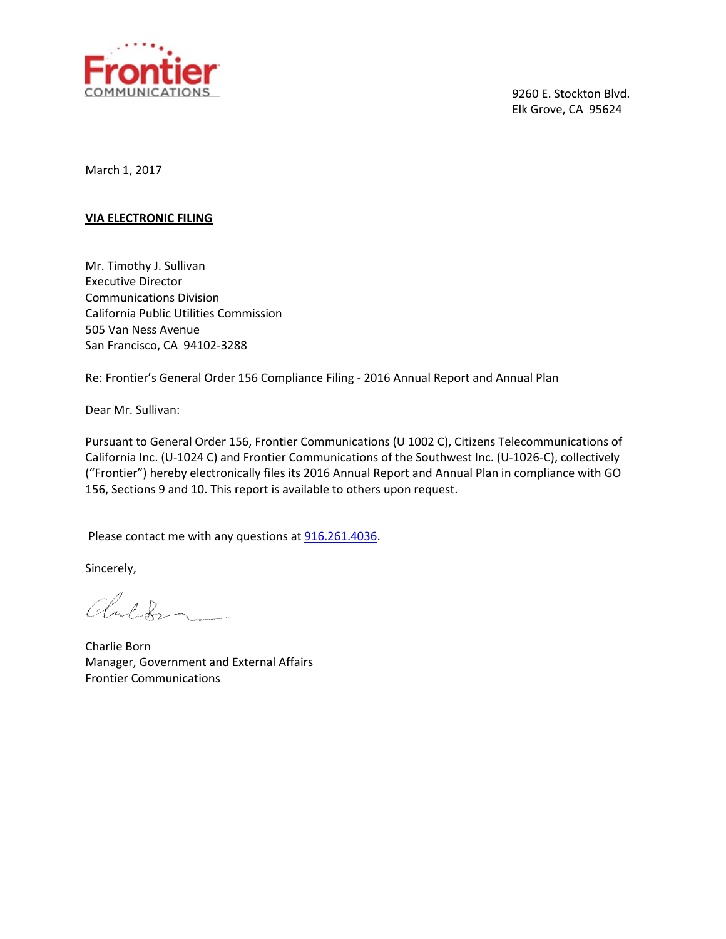

9260 E. Stockton Blvd. Elk Grove, CA 95624

March 1, 2017

#### **VIA ELECTRONIC FILING**

Mr. Timothy J. Sullivan Executive Director Communications Division California Public Utilities Commission 505 Van Ness Avenue San Francisco, CA 94102-3288

Re: Frontier's General Order 156 Compliance Filing - 2016 Annual Report and Annual Plan

Dear Mr. Sullivan:

Pursuant to General Order 156, Frontier Communications (U 1002 C), Citizens Telecommunications of California Inc. (U-1024 C) and Frontier Communications of the Southwest Inc. (U-1026-C), collectively ("Frontier") hereby electronically files its 2016 Annual Report and Annual Plan in compliance with GO 156, Sections 9 and 10. This report is available to others upon request.

Please contact me with any questions at [916.261.4036.](tel:916.261.4036)

Sincerely,

Children

Charlie Born Manager, Government and External Affairs Frontier Communications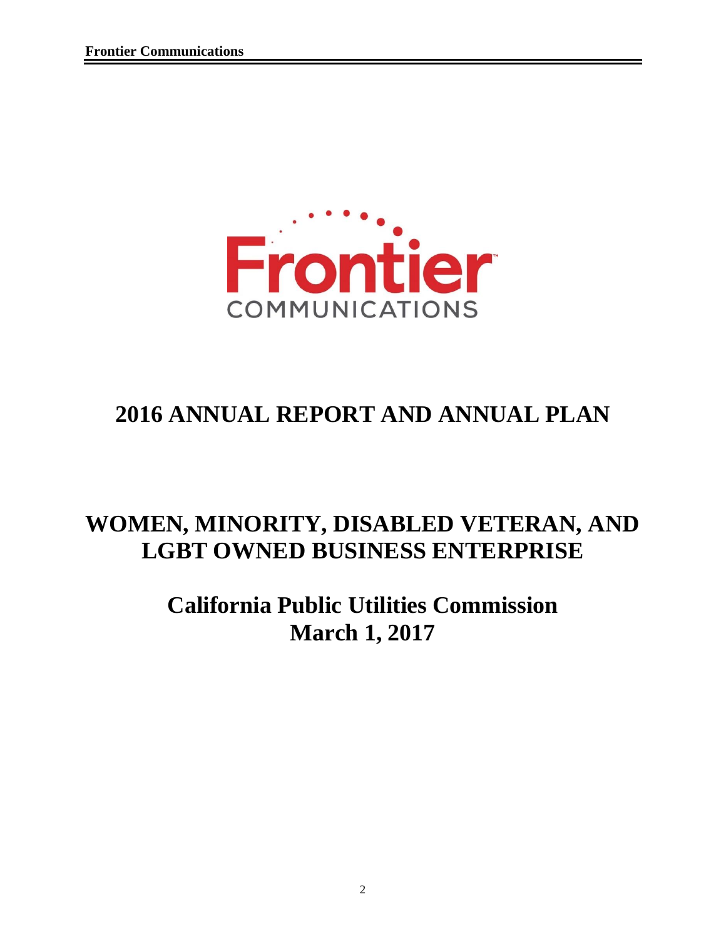

# **2016 ANNUAL REPORT AND ANNUAL PLAN**

## **WOMEN, MINORITY, DISABLED VETERAN, AND LGBT OWNED BUSINESS ENTERPRISE**

# **California Public Utilities Commission March 1, 2017**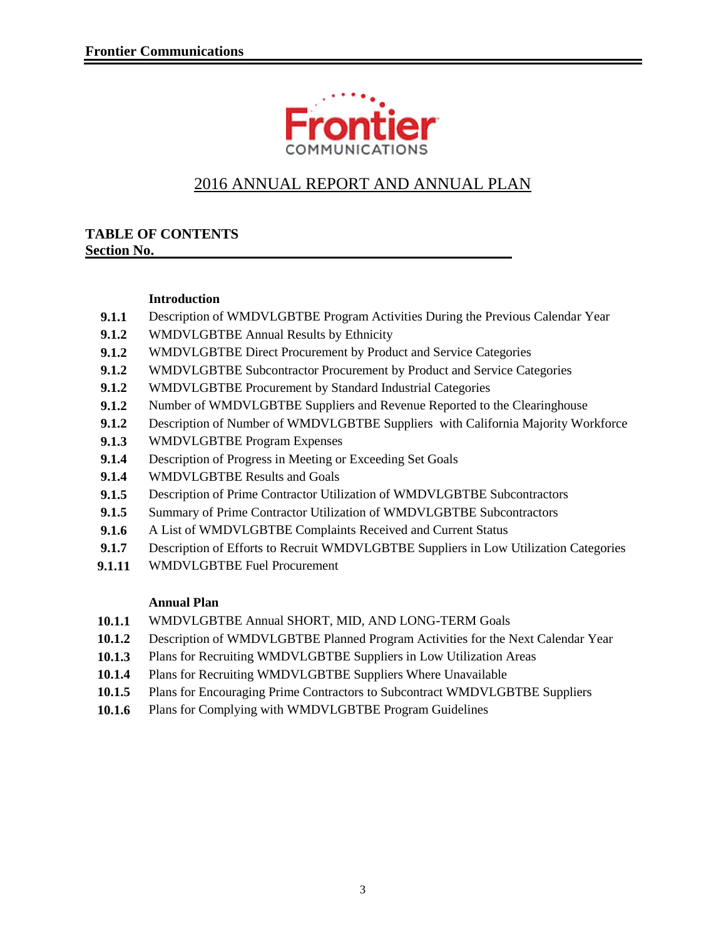

## 2016 ANNUAL REPORT AND ANNUAL PLAN

#### **TABLE OF CONTENTS Section No.**

#### **Introduction**

- **9.1.1** Description of WMDVLGBTBE Program Activities During the Previous Calendar Year
- **9.1.2** WMDVLGBTBE Annual Results by Ethnicity
- **9.1.2** WMDVLGBTBE Direct Procurement by Product and Service Categories
- **9.1.2** WMDVLGBTBE Subcontractor Procurement by Product and Service Categories
- **9.1.2** WMDVLGBTBE Procurement by Standard Industrial Categories
- **9.1.2** Number of WMDVLGBTBE Suppliers and Revenue Reported to the Clearinghouse
- **9.1.2** Description of Number of WMDVLGBTBE Suppliers with California Majority Workforce
- **9.1.3** WMDVLGBTBE Program Expenses
- **9.1.4** Description of Progress in Meeting or Exceeding Set Goals
- **9.1.4** WMDVLGBTBE Results and Goals
- **9.1.5** Description of Prime Contractor Utilization of WMDVLGBTBE Subcontractors
- **9.1.5** Summary of Prime Contractor Utilization of WMDVLGBTBE Subcontractors
- 9.1.6 A List of WMDVLGBTBE Complaints Received and Current Status
- 9.1.7 Description of Efforts to Recruit WMDVLGBTBE Suppliers in Low Utilization Categories
- **9.1.11** WMDVLGBTBE Fuel Procurement

#### **Annual Plan**

- **10.1.1** WMDVLGBTBE Annual SHORT, MID, AND LONG-TERM Goals
- **10.1.2** Description of WMDVLGBTBE Planned Program Activities for the Next Calendar Year
- **10.1.3** Plans for Recruiting WMDVLGBTBE Suppliers in Low Utilization Areas
- **10.1.4** Plans for Recruiting WMDVLGBTBE Suppliers Where Unavailable
- **10.1.5** Plans for Encouraging Prime Contractors to Subcontract WMDVLGBTBE Suppliers
- **10.1.6** Plans for Complying with WMDVLGBTBE Program Guidelines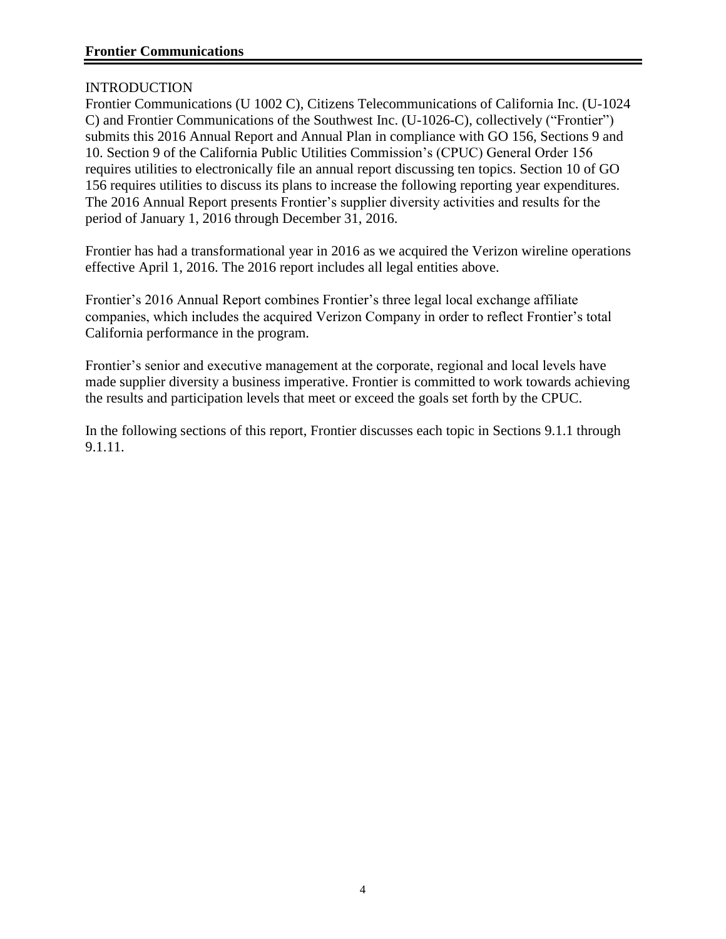#### INTRODUCTION

Frontier Communications (U 1002 C), Citizens Telecommunications of California Inc. (U-1024 C) and Frontier Communications of the Southwest Inc. (U-1026-C), collectively ("Frontier") submits this 2016 Annual Report and Annual Plan in compliance with GO 156, Sections 9 and 10. Section 9 of the California Public Utilities Commission's (CPUC) General Order 156 requires utilities to electronically file an annual report discussing ten topics. Section 10 of GO 156 requires utilities to discuss its plans to increase the following reporting year expenditures. The 2016 Annual Report presents Frontier's supplier diversity activities and results for the period of January 1, 2016 through December 31, 2016.

Frontier has had a transformational year in 2016 as we acquired the Verizon wireline operations effective April 1, 2016. The 2016 report includes all legal entities above.

Frontier's 2016 Annual Report combines Frontier's three legal local exchange affiliate companies, which includes the acquired Verizon Company in order to reflect Frontier's total California performance in the program.

Frontier's senior and executive management at the corporate, regional and local levels have made supplier diversity a business imperative. Frontier is committed to work towards achieving the results and participation levels that meet or exceed the goals set forth by the CPUC.

In the following sections of this report, Frontier discusses each topic in Sections 9.1.1 through 9.1.11.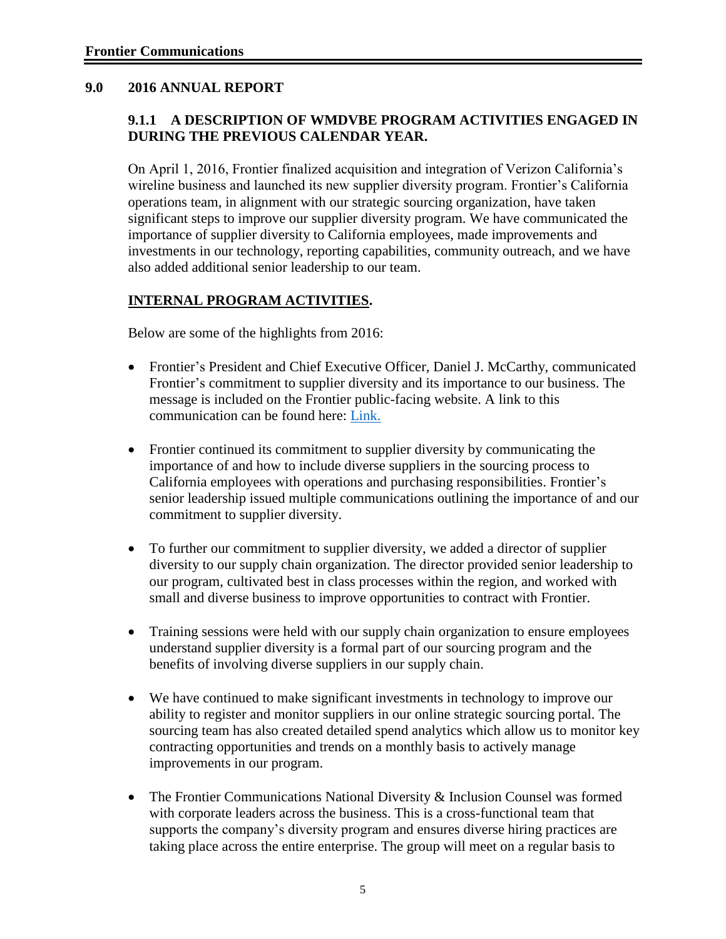#### **9.0 2016 ANNUAL REPORT**

#### **9.1.1 A DESCRIPTION OF WMDVBE PROGRAM ACTIVITIES ENGAGED IN DURING THE PREVIOUS CALENDAR YEAR.**

On April 1, 2016, Frontier finalized acquisition and integration of Verizon California's wireline business and launched its new supplier diversity program. Frontier's California operations team, in alignment with our strategic sourcing organization, have taken significant steps to improve our supplier diversity program. We have communicated the importance of supplier diversity to California employees, made improvements and investments in our technology, reporting capabilities, community outreach, and we have also added additional senior leadership to our team.

#### **INTERNAL PROGRAM ACTIVITIES.**

Below are some of the highlights from 2016:

- Frontier's President and Chief Executive Officer, Daniel J. McCarthy, communicated Frontier's commitment to supplier diversity and its importance to our business. The message is included on the Frontier public-facing website. A link to this communication can be found here: [Link.](https://frontier.com/~/media/pages/suppliersSite/pdf/Supplier%20Diversity.ashx?la=en)
- Frontier continued its commitment to supplier diversity by communicating the importance of and how to include diverse suppliers in the sourcing process to California employees with operations and purchasing responsibilities. Frontier's senior leadership issued multiple communications outlining the importance of and our commitment to supplier diversity.
- To further our commitment to supplier diversity, we added a director of supplier diversity to our supply chain organization. The director provided senior leadership to our program, cultivated best in class processes within the region, and worked with small and diverse business to improve opportunities to contract with Frontier.
- Training sessions were held with our supply chain organization to ensure employees understand supplier diversity is a formal part of our sourcing program and the benefits of involving diverse suppliers in our supply chain.
- We have continued to make significant investments in technology to improve our ability to register and monitor suppliers in our online strategic sourcing portal. The sourcing team has also created detailed spend analytics which allow us to monitor key contracting opportunities and trends on a monthly basis to actively manage improvements in our program.
- The Frontier Communications National Diversity & Inclusion Counsel was formed with corporate leaders across the business. This is a cross-functional team that supports the company's diversity program and ensures diverse hiring practices are taking place across the entire enterprise. The group will meet on a regular basis to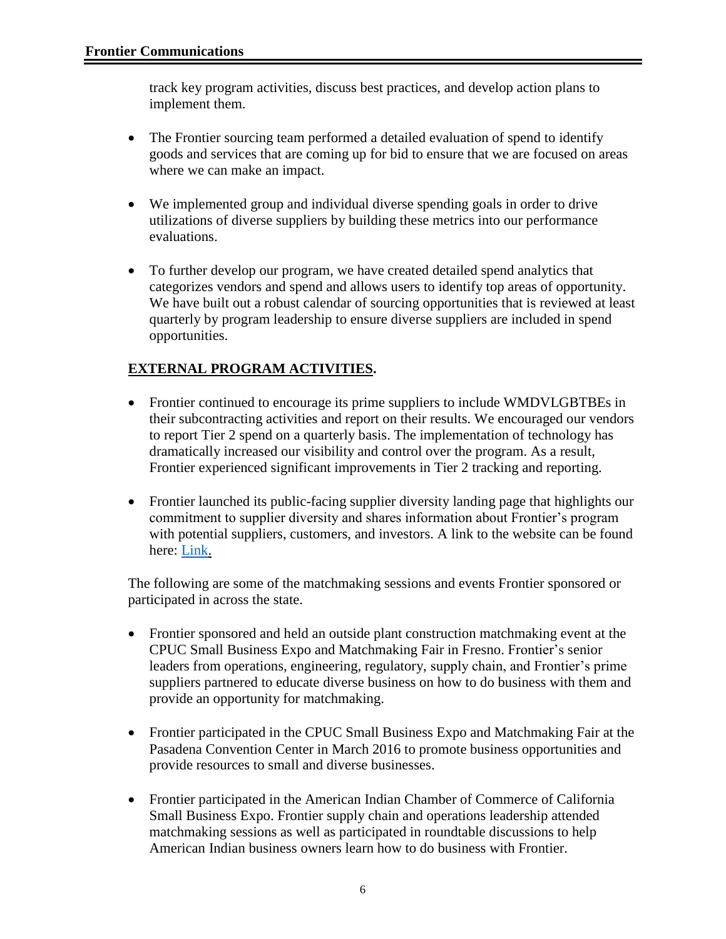track key program activities, discuss best practices, and develop action plans to implement them.

- The Frontier sourcing team performed a detailed evaluation of spend to identify goods and services that are coming up for bid to ensure that we are focused on areas where we can make an impact.
- We implemented group and individual diverse spending goals in order to drive utilizations of diverse suppliers by building these metrics into our performance evaluations.
- To further develop our program, we have created detailed spend analytics that categorizes vendors and spend and allows users to identify top areas of opportunity. We have built out a robust calendar of sourcing opportunities that is reviewed at least quarterly by program leadership to ensure diverse suppliers are included in spend opportunities.

### **EXTERNAL PROGRAM ACTIVITIES.**

- Frontier continued to encourage its prime suppliers to include WMDVLGBTBEs in their subcontracting activities and report on their results. We encouraged our vendors to report Tier 2 spend on a quarterly basis. The implementation of technology has dramatically increased our visibility and control over the program. As a result, Frontier experienced significant improvements in Tier 2 tracking and reporting.
- Frontier launched its public-facing supplier diversity landing page that highlights our commitment to supplier diversity and shares information about Frontier's program with potential suppliers, customers, and investors. A link to the website can be found here: [Link.](https://frontier.com/suppliers/supplier-diversity)

The following are some of the matchmaking sessions and events Frontier sponsored or participated in across the state.

- Frontier sponsored and held an outside plant construction matchmaking event at the CPUC Small Business Expo and Matchmaking Fair in Fresno. Frontier's senior leaders from operations, engineering, regulatory, supply chain, and Frontier's prime suppliers partnered to educate diverse business on how to do business with them and provide an opportunity for matchmaking.
- Frontier participated in the CPUC Small Business Expo and Matchmaking Fair at the Pasadena Convention Center in March 2016 to promote business opportunities and provide resources to small and diverse businesses.
- Frontier participated in the American Indian Chamber of Commerce of California Small Business Expo. Frontier supply chain and operations leadership attended matchmaking sessions as well as participated in roundtable discussions to help American Indian business owners learn how to do business with Frontier.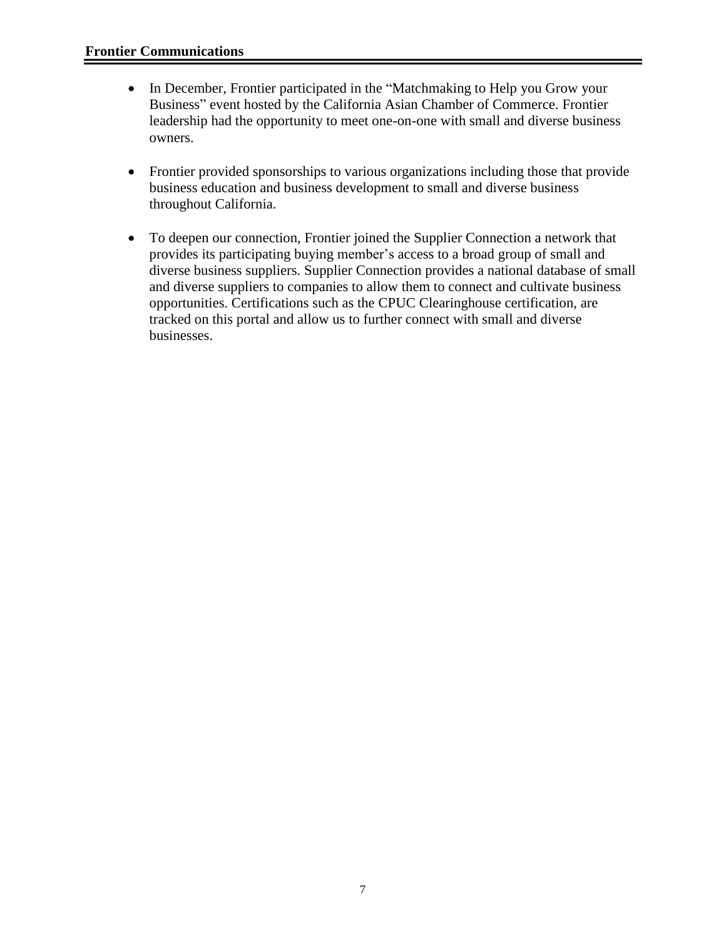- In December, Frontier participated in the "Matchmaking to Help you Grow your Business" event hosted by the California Asian Chamber of Commerce. Frontier leadership had the opportunity to meet one-on-one with small and diverse business owners.
- Frontier provided sponsorships to various organizations including those that provide business education and business development to small and diverse business throughout California.
- To deepen our connection, Frontier joined the Supplier Connection a network that provides its participating buying member's access to a broad group of small and diverse business suppliers. Supplier Connection provides a national database of small and diverse suppliers to companies to allow them to connect and cultivate business opportunities. Certifications such as the CPUC Clearinghouse certification, are tracked on this portal and allow us to further connect with small and diverse businesses.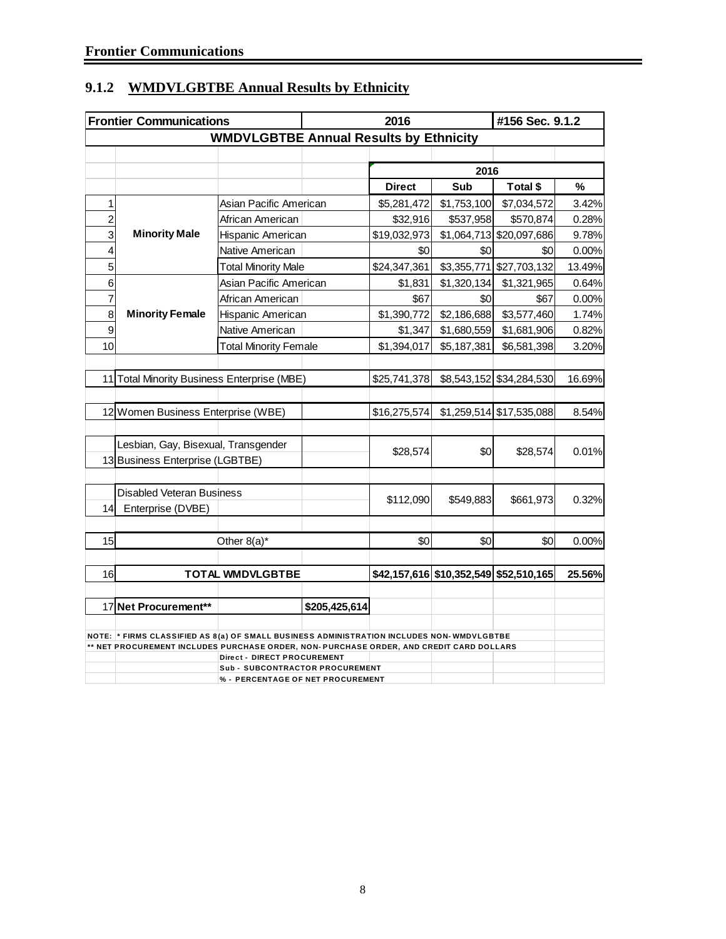| 9.1.2 WMDVLGBTBE Annual Results by Ethnicity |
|----------------------------------------------|
|----------------------------------------------|

|     | <b>Frontier Communications</b>                                                            |                                               | 2016          |               |             |                                        | #156 Sec. 9.1.2 |  |
|-----|-------------------------------------------------------------------------------------------|-----------------------------------------------|---------------|---------------|-------------|----------------------------------------|-----------------|--|
|     |                                                                                           | <b>WMDVLGBTBE Annual Results by Ethnicity</b> |               |               |             |                                        |                 |  |
|     |                                                                                           |                                               |               |               |             |                                        |                 |  |
|     |                                                                                           |                                               |               |               | 2016        |                                        |                 |  |
|     |                                                                                           |                                               |               | <b>Direct</b> | Sub         | Total \$                               | %               |  |
| 1   |                                                                                           | Asian Pacific American                        |               | \$5,281,472   | \$1,753,100 | \$7,034,572                            | 3.42%           |  |
| 2   |                                                                                           | African American                              |               | \$32,916      | \$537,958   | \$570,874                              | 0.28%           |  |
| 3   | <b>Minority Male</b>                                                                      | Hispanic American                             |               | \$19,032,973  |             | \$1,064,713 \$20,097,686               | 9.78%           |  |
| 4   |                                                                                           | Native American                               |               | \$0           | \$0         | \$0                                    | 0.00%           |  |
| 5   |                                                                                           | <b>Total Minority Male</b>                    |               | \$24,347,361  | \$3,355,771 | \$27,703,132                           | 13.49%          |  |
| 6   |                                                                                           | Asian Pacific American                        |               | \$1,831       | \$1,320,134 | \$1,321,965                            | 0.64%           |  |
| 7   |                                                                                           | African American                              |               | \$67          | \$0         | \$67                                   | 0.00%           |  |
| 8   | <b>Minority Female</b>                                                                    | Hispanic American                             |               | \$1,390,772   | \$2,186,688 | \$3,577,460                            | 1.74%           |  |
| 9   |                                                                                           | Native American                               |               | \$1,347       | \$1,680,559 | \$1,681,906                            | 0.82%           |  |
| 10  |                                                                                           | <b>Total Minority Female</b>                  |               | \$1,394,017   | \$5,187,381 | \$6,581,398                            | 3.20%           |  |
|     |                                                                                           |                                               |               |               |             |                                        |                 |  |
| 11I | <b>Total Minority Business Enterprise (MBE)</b>                                           |                                               |               | \$25,741,378  |             | \$8,543,152 \$34,284,530               | 16.69%          |  |
|     |                                                                                           |                                               |               |               |             |                                        |                 |  |
|     | 12 Women Business Enterprise (WBE)                                                        |                                               |               | \$16,275,574  |             | $$1,259,514$ $$17,535,088$             | 8.54%           |  |
|     |                                                                                           |                                               |               |               |             |                                        |                 |  |
|     | Lesbian, Gay, Bisexual, Transgender                                                       |                                               |               |               |             |                                        |                 |  |
|     | 13 Business Enterprise (LGBTBE)                                                           |                                               |               | \$28,574      | \$0         | \$28,574                               | 0.01%           |  |
|     |                                                                                           |                                               |               |               |             |                                        |                 |  |
|     | <b>Disabled Veteran Business</b>                                                          |                                               |               |               |             |                                        |                 |  |
| 14  | Enterprise (DVBE)                                                                         |                                               |               | \$112,090     | \$549,883   | \$661,973                              | 0.32%           |  |
|     |                                                                                           |                                               |               |               |             |                                        |                 |  |
| 15  |                                                                                           | Other $8(a)^*$                                |               | \$0           | \$0         | \$0                                    | 0.00%           |  |
|     |                                                                                           |                                               |               |               |             |                                        |                 |  |
| 16  |                                                                                           | <b>TOTAL WMDVLGBTBE</b>                       |               |               |             | \$42,157,616 \$10,352,549 \$52,510,165 | 25.56%          |  |
|     |                                                                                           |                                               |               |               |             |                                        |                 |  |
|     | 17 Net Procurement**                                                                      |                                               | \$205,425,614 |               |             |                                        |                 |  |
|     |                                                                                           |                                               |               |               |             |                                        |                 |  |
|     | NOTE: * FIRMS CLASSIFIED AS 8(a) OF SMALL BUSINESS ADMINISTRATION INCLUDES NON-WMDVLGBTBE |                                               |               |               |             |                                        |                 |  |
|     | ** NET PROCUREMENT INCLUDES PURCHASE ORDER, NON- PURCHASE ORDER, AND CREDIT CARD DOLLARS  | Direct - DIRECT PROCUREMENT                   |               |               |             |                                        |                 |  |
|     |                                                                                           | <b>Sub - SUBCONTRACTOR PROCUREMENT</b>        |               |               |             |                                        |                 |  |
|     |                                                                                           | % - PERCENTAGE OF NET PROCUREMENT             |               |               |             |                                        |                 |  |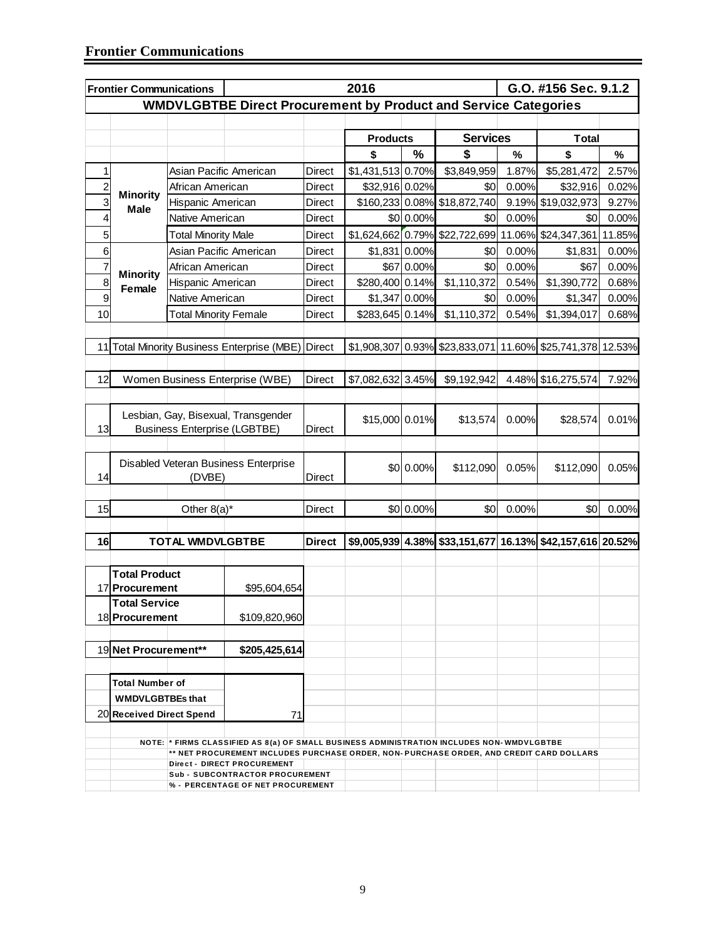|                         | <b>Frontier Communications</b> |                                     | 2016                                                                                                                                                                                 |               |                   |            |                                |       | G.O. #156 Sec. 9.1.2                                      |        |
|-------------------------|--------------------------------|-------------------------------------|--------------------------------------------------------------------------------------------------------------------------------------------------------------------------------------|---------------|-------------------|------------|--------------------------------|-------|-----------------------------------------------------------|--------|
|                         |                                |                                     | <b>WMDVLGBTBE Direct Procurement by Product and Service Categories</b>                                                                                                               |               |                   |            |                                |       |                                                           |        |
|                         |                                |                                     |                                                                                                                                                                                      |               |                   |            |                                |       |                                                           |        |
|                         |                                |                                     |                                                                                                                                                                                      |               | <b>Products</b>   |            | <b>Services</b>                |       | <b>Total</b>                                              |        |
|                         |                                |                                     |                                                                                                                                                                                      |               | \$                | $\%$       | \$                             | %     | \$                                                        | %      |
| 1                       |                                | Asian Pacific American              |                                                                                                                                                                                      | Direct        | \$1,431,513 0.70% |            | \$3,849,959                    | 1.87% | \$5,281,472                                               | 2.57%  |
| $\overline{\mathbf{c}}$ | <b>Minority</b>                | African American                    |                                                                                                                                                                                      | Direct        | \$32,916 0.02%    |            | \$0                            | 0.00% | \$32,916                                                  | 0.02%  |
| 3                       | <b>Male</b>                    | Hispanic American                   |                                                                                                                                                                                      | Direct        |                   |            | \$160,233 0.08% \$18,872,740   |       | 9.19% \$19,032,973                                        | 9.27%  |
| 4                       |                                | Native American                     |                                                                                                                                                                                      | <b>Direct</b> |                   | \$0 0.00%  | \$0                            | 0.00% | \$0                                                       | 0.00%  |
| 5                       |                                | <b>Total Minority Male</b>          |                                                                                                                                                                                      | Direct        |                   |            | \$1,624,662 0.79% \$22,722,699 |       | 11.06% \$24,347,361                                       | 11.85% |
| 6                       |                                | Asian Pacific American              |                                                                                                                                                                                      | Direct        | \$1,831 0.00%     |            | \$0                            | 0.00% | \$1,831                                                   | 0.00%  |
| $\overline{7}$          | <b>Minority</b>                | African American                    |                                                                                                                                                                                      | Direct        |                   | \$67 0.00% | \$0                            | 0.00% | \$67                                                      | 0.00%  |
| 8                       | Female                         | Hispanic American                   |                                                                                                                                                                                      | Direct        | \$280,400 0.14%   |            | \$1,110,372                    | 0.54% | \$1,390,772                                               | 0.68%  |
| 9                       |                                | Native American                     |                                                                                                                                                                                      | Direct        | \$1,347 0.00%     |            | \$0                            | 0.00% | \$1,347                                                   | 0.00%  |
| 10                      |                                | <b>Total Minority Female</b>        |                                                                                                                                                                                      | Direct        | \$283,645 0.14%   |            | \$1,110,372                    | 0.54% | \$1,394,017                                               | 0.68%  |
|                         |                                |                                     |                                                                                                                                                                                      |               |                   |            |                                |       |                                                           |        |
| 11                      |                                |                                     | <b>Total Minority Business Enterprise (MBE)</b>                                                                                                                                      | <b>Direct</b> | \$1,908,307       |            | 0.93% \$23,833,071             |       | 11.60% \$25,741,378 12.53%                                |        |
|                         |                                |                                     |                                                                                                                                                                                      |               |                   |            |                                |       |                                                           |        |
| 12                      |                                |                                     | Women Business Enterprise (WBE)                                                                                                                                                      | <b>Direct</b> | \$7,082,632       | 3.45%      | \$9,192,942                    |       | 4.48% \$16,275,574                                        | 7.92%  |
|                         |                                |                                     |                                                                                                                                                                                      |               |                   |            |                                |       |                                                           |        |
|                         |                                |                                     | Lesbian, Gay, Bisexual, Transgender                                                                                                                                                  |               |                   |            |                                |       |                                                           |        |
| 13                      |                                | <b>Business Enterprise (LGBTBE)</b> |                                                                                                                                                                                      | Direct        | \$15,000 0.01%    |            | \$13,574                       | 0.00% | \$28,574                                                  | 0.01%  |
|                         |                                |                                     |                                                                                                                                                                                      |               |                   |            |                                |       |                                                           |        |
|                         |                                |                                     | Disabled Veteran Business Enterprise                                                                                                                                                 |               |                   |            |                                |       |                                                           |        |
| 14                      |                                | (DVBE)                              |                                                                                                                                                                                      | Direct        |                   | \$0 0.00%  | \$112,090                      | 0.05% | \$112,090                                                 | 0.05%  |
|                         |                                |                                     |                                                                                                                                                                                      |               |                   |            |                                |       |                                                           |        |
| 15                      |                                | Other $8(a)^*$                      |                                                                                                                                                                                      | <b>Direct</b> |                   | \$0 0.00%  | \$0                            | 0.00% | \$0                                                       | 0.00%  |
|                         |                                |                                     |                                                                                                                                                                                      |               |                   |            |                                |       |                                                           |        |
| 16                      |                                | <b>TOTAL WMDVLGBTBE</b>             |                                                                                                                                                                                      | <b>Direct</b> |                   |            |                                |       | \$9,005,939 4.38% \$33,151,677 16.13% \$42,157,616 20.52% |        |
|                         |                                |                                     |                                                                                                                                                                                      |               |                   |            |                                |       |                                                           |        |
|                         | <b>Total Product</b>           |                                     |                                                                                                                                                                                      |               |                   |            |                                |       |                                                           |        |
|                         | 17 Procurement                 |                                     | \$95,604,654                                                                                                                                                                         |               |                   |            |                                |       |                                                           |        |
|                         | <b>Total Service</b>           |                                     |                                                                                                                                                                                      |               |                   |            |                                |       |                                                           |        |
|                         | 18 Procurement                 |                                     | \$109,820,960                                                                                                                                                                        |               |                   |            |                                |       |                                                           |        |
|                         |                                |                                     |                                                                                                                                                                                      |               |                   |            |                                |       |                                                           |        |
|                         | 19 Net Procurement**           |                                     | \$205,425,614                                                                                                                                                                        |               |                   |            |                                |       |                                                           |        |
|                         |                                |                                     |                                                                                                                                                                                      |               |                   |            |                                |       |                                                           |        |
|                         | <b>Total Number of</b>         |                                     |                                                                                                                                                                                      |               |                   |            |                                |       |                                                           |        |
|                         | <b>WMDVLGBTBEs that</b>        |                                     |                                                                                                                                                                                      |               |                   |            |                                |       |                                                           |        |
|                         | 20 Received Direct Spend       |                                     | 71                                                                                                                                                                                   |               |                   |            |                                |       |                                                           |        |
|                         |                                |                                     |                                                                                                                                                                                      |               |                   |            |                                |       |                                                           |        |
|                         |                                |                                     | NOTE: * FIRMS CLASSIFIED AS 8(a) OF SMALL BUSINESS ADMINISTRATION INCLUDES NON-WMDVLGBTBE<br>** NET PROCUREMENT INCLUDES PURCHASE ORDER, NON-PURCHASE ORDER, AND CREDIT CARD DOLLARS |               |                   |            |                                |       |                                                           |        |
|                         |                                |                                     | Direct - DIRECT PROCUREMENT                                                                                                                                                          |               |                   |            |                                |       |                                                           |        |
|                         |                                |                                     | <b>Sub - SUBCONTRACTOR PROCUREMENT</b><br>% - PERCENTAGE OF NET PROCUREMENT                                                                                                          |               |                   |            |                                |       |                                                           |        |
|                         |                                |                                     |                                                                                                                                                                                      |               |                   |            |                                |       |                                                           |        |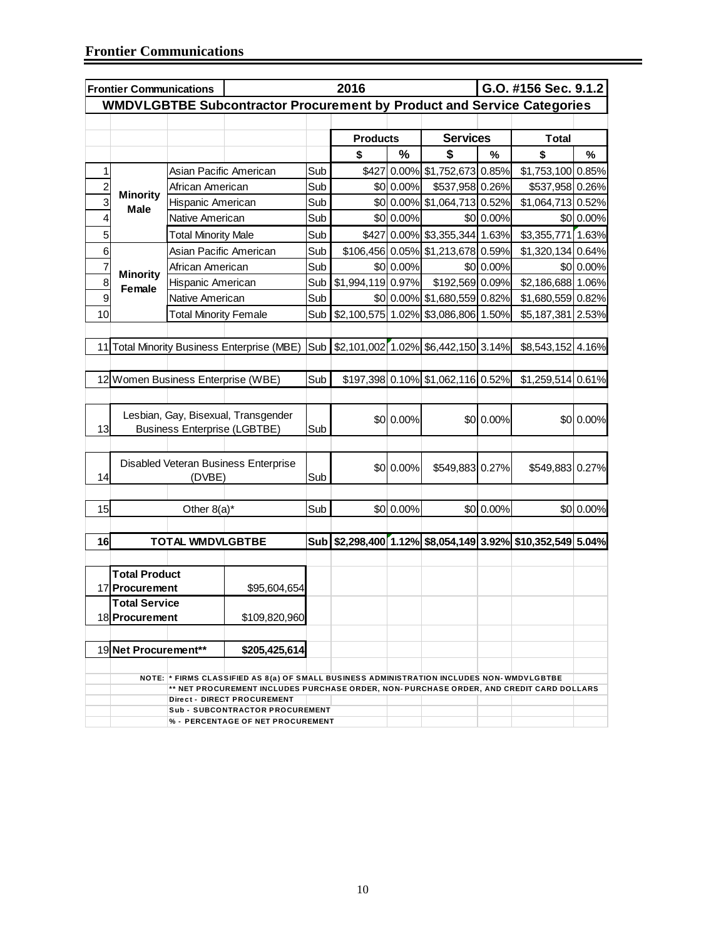|                | 2016<br>G.O. #156 Sec. 9.1.2<br><b>Frontier Communications</b> |                                     |                                                                                                                         |            |                   |           |                                      |           |                                                        |           |
|----------------|----------------------------------------------------------------|-------------------------------------|-------------------------------------------------------------------------------------------------------------------------|------------|-------------------|-----------|--------------------------------------|-----------|--------------------------------------------------------|-----------|
|                |                                                                |                                     | <b>WMDVLGBTBE Subcontractor Procurement by Product and Service Categories</b>                                           |            |                   |           |                                      |           |                                                        |           |
|                |                                                                |                                     |                                                                                                                         |            |                   |           |                                      |           |                                                        |           |
|                |                                                                |                                     |                                                                                                                         |            | <b>Products</b>   |           | <b>Services</b>                      |           | <b>Total</b>                                           |           |
|                |                                                                |                                     |                                                                                                                         |            | \$                | $\%$      | \$                                   | %         | \$                                                     | %         |
| 1              |                                                                | Asian Pacific American              |                                                                                                                         | Sub        | \$427             |           | 0.00% \$1,752,673 0.85%              |           | \$1,753,100 0.85%                                      |           |
| $\overline{c}$ | <b>Minority</b>                                                | African American                    |                                                                                                                         | Sub        |                   | \$0 0.00% | \$537,958 0.26%                      |           | \$537,958 0.26%                                        |           |
| 3              | <b>Male</b>                                                    | Hispanic American                   |                                                                                                                         | Sub        |                   |           | \$0 0.00% \$1,064,713 0.52%          |           | \$1,064,713 0.52%                                      |           |
| 4              |                                                                | Native American                     |                                                                                                                         | Sub        |                   | \$0 0.00% |                                      | \$0 0.00% |                                                        | \$0 0.00% |
| 5              |                                                                | <b>Total Minority Male</b>          |                                                                                                                         | Sub        | \$427             |           | 0.00% \$3,355,344 1.63%              |           | \$3,355,771 1.63%                                      |           |
| 6              |                                                                | Asian Pacific American              |                                                                                                                         | Sub        | \$106,456 0.05%   |           | \$1,213,678 0.59%                    |           | \$1,320,134 0.64%                                      |           |
| 7              |                                                                | African American                    |                                                                                                                         | Sub        |                   | \$0 0.00% |                                      | \$0 0.00% |                                                        | \$0 0.00% |
| 8              | <b>Minority</b><br>Female                                      | Hispanic American                   |                                                                                                                         | Sub        | \$1,994,119 0.97% |           | \$192,569 0.09%                      |           | \$2,186,688 1.06%                                      |           |
| 9              |                                                                | Native American                     |                                                                                                                         | Sub        |                   |           | \$0 0.00% \$1,680,559 0.82%          |           | \$1,680,559 0.82%                                      |           |
| 10             |                                                                | <b>Total Minority Female</b>        |                                                                                                                         | Sub        |                   |           | \$2,100,575 1.02% \$3,086,806 1.50%  |           | \$5,187,381 2.53%                                      |           |
|                |                                                                |                                     |                                                                                                                         |            |                   |           |                                      |           |                                                        |           |
| 11             |                                                                |                                     | <b>Total Minority Business Enterprise (MBE)</b>                                                                         | Sub        |                   |           | $$2,101,002$ 1.02% \$6,442,150 3.14% |           | \$8,543,152 4.16%                                      |           |
|                |                                                                |                                     |                                                                                                                         |            |                   |           |                                      |           |                                                        |           |
|                |                                                                | 12 Women Business Enterprise (WBE)  |                                                                                                                         | Sub        |                   |           | \$197,398 0.10% \$1,062,116 0.52%    |           | \$1,259,514 0.61%                                      |           |
|                |                                                                |                                     |                                                                                                                         |            |                   |           |                                      |           |                                                        |           |
|                |                                                                |                                     | Lesbian, Gay, Bisexual, Transgender                                                                                     |            |                   |           |                                      |           |                                                        |           |
| 13             |                                                                | <b>Business Enterprise (LGBTBE)</b> |                                                                                                                         | Sub        |                   | \$0 0.00% |                                      | \$0 0.00% |                                                        | \$0 0.00% |
|                |                                                                |                                     |                                                                                                                         |            |                   |           |                                      |           |                                                        |           |
|                |                                                                |                                     |                                                                                                                         |            |                   |           |                                      |           |                                                        |           |
| 14             |                                                                | (DVBE)                              | Disabled Veteran Business Enterprise                                                                                    | Sub        |                   | \$0 0.00% | \$549,883 0.27%                      |           | \$549,883 0.27%                                        |           |
|                |                                                                |                                     |                                                                                                                         |            |                   |           |                                      |           |                                                        |           |
| 15             |                                                                | Other $8(a)^*$                      |                                                                                                                         | Sub        |                   | \$0 0.00% |                                      | \$0 0.00% |                                                        | \$0 0.00% |
|                |                                                                |                                     |                                                                                                                         |            |                   |           |                                      |           |                                                        |           |
| 16             |                                                                | <b>TOTAL WMDVLGBTBE</b>             |                                                                                                                         | <b>Sub</b> |                   |           |                                      |           | \$2,298,400 1.12% \$8,054,149 3.92% \$10,352,549 5.04% |           |
|                |                                                                |                                     |                                                                                                                         |            |                   |           |                                      |           |                                                        |           |
|                | <b>Total Product</b>                                           |                                     |                                                                                                                         |            |                   |           |                                      |           |                                                        |           |
|                | 17 Procurement                                                 |                                     | \$95,604,654                                                                                                            |            |                   |           |                                      |           |                                                        |           |
|                | <b>Total Service</b>                                           |                                     |                                                                                                                         |            |                   |           |                                      |           |                                                        |           |
|                | 18 Procurement                                                 |                                     | \$109,820,960                                                                                                           |            |                   |           |                                      |           |                                                        |           |
|                |                                                                |                                     |                                                                                                                         |            |                   |           |                                      |           |                                                        |           |
|                | 19 Net Procurement**                                           |                                     | \$205,425,614                                                                                                           |            |                   |           |                                      |           |                                                        |           |
|                |                                                                |                                     |                                                                                                                         |            |                   |           |                                      |           |                                                        |           |
|                |                                                                |                                     | NOTE: * FIRMS CLASSIFIED AS 8(a) OF SMALL BUSINESS ADMINISTRATION INCLUDES NON-WMDVLGBTBE                               |            |                   |           |                                      |           |                                                        |           |
|                |                                                                |                                     | ** NET PROCUREMENT INCLUDES PURCHASE ORDER, NON- PURCHASE ORDER, AND CREDIT CARD DOLLARS<br>Direct - DIRECT PROCUREMENT |            |                   |           |                                      |           |                                                        |           |
|                |                                                                |                                     | <b>Sub - SUBCONTRACTOR PROCUREMENT</b>                                                                                  |            |                   |           |                                      |           |                                                        |           |
|                |                                                                |                                     | % - PERCENTAGE OF NET PROCUREMENT                                                                                       |            |                   |           |                                      |           |                                                        |           |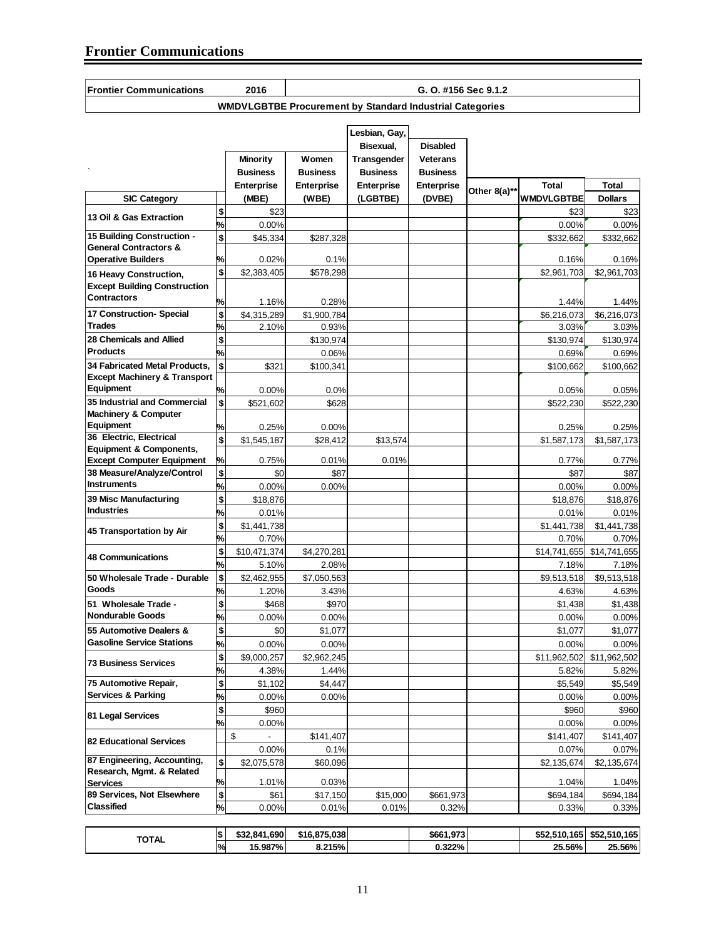| Frontier Communications |  |
|-------------------------|--|

**Frontier Communications 2016**

**G. O. #156 Sec 9.1.2**

**WMDVLGBTBE Procurement by Standard Industrial Categories** 

|                                                                |                        |                      |                      | Lesbian, Gay,     |                    |                         |                      |                           |
|----------------------------------------------------------------|------------------------|----------------------|----------------------|-------------------|--------------------|-------------------------|----------------------|---------------------------|
|                                                                |                        |                      |                      | Bisexual,         | <b>Disabled</b>    |                         |                      |                           |
|                                                                |                        | Minority             | Women                | Transgender       | <b>Veterans</b>    |                         |                      |                           |
|                                                                |                        | <b>Business</b>      | <b>Business</b>      | <b>Business</b>   | <b>Business</b>    |                         |                      |                           |
|                                                                |                        | Enterprise           | <b>Enterprise</b>    | <b>Enterprise</b> | <b>Enterprise</b>  | Other 8(a)* <sup></sup> | <b>Total</b>         | <b>Total</b>              |
| <b>SIC Category</b>                                            |                        | (MBE)                | (WBE)                | (LGBTBE)          | (DVBE)             |                         | <b>WMDVLGBTBE</b>    | <b>Dollars</b>            |
| 13 Oil & Gas Extraction                                        | \$                     | \$23                 |                      |                   |                    |                         | \$23                 | \$23                      |
|                                                                | %                      | 0.00%                |                      |                   |                    |                         | 0.00%                | 0.00%                     |
| 15 Building Construction -<br><b>General Contractors &amp;</b> | \$                     | \$45,334             | \$287,328            |                   |                    |                         | \$332,662            | \$332,662                 |
| <b>Operative Builders</b>                                      | %                      | 0.02%                | 0.1%                 |                   |                    |                         | 0.16%                | 0.16%                     |
| 16 Heavy Construction,                                         | \$                     | \$2,383,405          | \$578,298            |                   |                    |                         | \$2,961,703          | \$2,961,703               |
| <b>Except Building Construction</b>                            |                        |                      |                      |                   |                    |                         |                      |                           |
| <b>Contractors</b>                                             |                        |                      |                      |                   |                    |                         |                      |                           |
| 17 Construction- Special                                       | %                      | 1.16%                | 0.28%                |                   |                    |                         | 1.44%                | 1.44%                     |
| <b>Trades</b>                                                  | \$<br>%                | \$4,315,289<br>2.10% | \$1,900,784<br>0.93% |                   |                    |                         | \$6,216,073<br>3.03% | \$6,216,073<br>3.03%      |
| 28 Chemicals and Allied                                        | \$                     |                      | \$130,974            |                   |                    |                         | \$130,974            | \$130,974                 |
| <b>Products</b>                                                | %                      |                      | 0.06%                |                   |                    |                         | 0.69%                | 0.69%                     |
| 34 Fabricated Metal Products.                                  | $\mathbf{s}$           | \$321                | \$100,341            |                   |                    |                         | \$100,662            | \$100,662                 |
| <b>Except Machinery &amp; Transport</b>                        |                        |                      |                      |                   |                    |                         |                      |                           |
| Equipment                                                      | %                      | 0.00%                | 0.0%                 |                   |                    |                         | 0.05%                | 0.05%                     |
| 35 Industrial and Commercial                                   | \$                     | \$521,602            | \$628                |                   |                    |                         | \$522,230            | \$522,230                 |
| <b>Machinery &amp; Computer</b>                                |                        |                      |                      |                   |                    |                         |                      |                           |
| Equipment                                                      | %                      | 0.25%                | $0.00\%$             |                   |                    |                         | 0.25%                | 0.25%                     |
| 36 Electric, Electrical                                        | \$                     | \$1,545,187          | \$28,412             | \$13,574          |                    |                         | \$1,587,173          | \$1,587,173               |
| <b>Equipment &amp; Components,</b>                             |                        | 0.75%                | 0.01%                | 0.01%             |                    |                         | 0.77%                |                           |
| <b>Except Computer Equipment</b><br>38 Measure/Analyze/Control | %<br>\$                | \$0                  | \$87                 |                   |                    |                         | \$87                 | 0.77%<br>\$87             |
| <b>Instruments</b>                                             | %                      | 0.00%                | 0.00%                |                   |                    |                         | 0.00%                | 0.00%                     |
| 39 Misc Manufacturing                                          | \$                     | \$18,876             |                      |                   |                    |                         | \$18,876             | \$18,876                  |
| <b>Industries</b>                                              | %                      | 0.01%                |                      |                   |                    |                         | 0.01%                | 0.01%                     |
|                                                                | \$                     | \$1,441,738          |                      |                   |                    |                         | \$1,441,738          | \$1,441,738               |
| 45 Transportation by Air                                       | %                      | 0.70%                |                      |                   |                    |                         | 0.70%                | 0.70%                     |
|                                                                | \$                     | \$10,471,374         | \$4,270,281          |                   |                    |                         | \$14,741,655         | \$14,741,655              |
| <b>48 Communications</b>                                       | %                      | 5.10%                | 2.08%                |                   |                    |                         | 7.18%                | 7.18%                     |
| 50 Wholesale Trade - Durable                                   | \$                     | \$2,462,955          | \$7,050,563          |                   |                    |                         | \$9,513,518          | \$9,513,518               |
| Goods                                                          | %                      | 1.20%                | 3.43%                |                   |                    |                         | 4.63%                | 4.63%                     |
| 51 Wholesale Trade -                                           | \$                     | \$468                | \$970                |                   |                    |                         | \$1,438              | \$1,438                   |
| <b>Nondurable Goods</b>                                        | ℅                      | 0.00%                | 0.00%                |                   |                    |                         | 0.00%                | 0.00%                     |
| 55 Automotive Dealers &                                        | \$                     | \$0                  | \$1,077              |                   |                    |                         | \$1,077              | \$1.077                   |
| <b>Gasoline Service Stations</b>                               | %                      | 0.00%                | 0.00%                |                   |                    |                         | 0.00%                | 0.00%                     |
|                                                                | \$                     | \$9,000,257          | \$2.962.245          |                   |                    |                         |                      | \$11,962,502 \$11,962.502 |
| <b>73 Business Services</b>                                    | ℅                      | 4.38%                | 1.44%                |                   |                    |                         | 5.82%                | 5.82%                     |
| 75 Automotive Repair,                                          | \$                     | \$1,102              | \$4,447              |                   |                    |                         | \$5,549              | \$5,549                   |
| <b>Services &amp; Parking</b>                                  | %                      | 0.00%                | 0.00%                |                   |                    |                         | 0.00%                | 0.00%                     |
|                                                                | \$                     | \$960                |                      |                   |                    |                         | \$960                | \$960                     |
| 81 Legal Services                                              | %                      | 0.00%                |                      |                   |                    |                         | 0.00%                | 0.00%                     |
|                                                                |                        | \$                   | \$141,407            |                   |                    |                         | \$141,407            | \$141,407                 |
| <b>82 Educational Services</b>                                 |                        | 0.00%                | 0.1%                 |                   |                    |                         | 0.07%                | 0.07%                     |
| 87 Engineering, Accounting,                                    | \$                     | \$2,075,578          | \$60,096             |                   |                    |                         | \$2,135,674          | \$2,135,674               |
| Research, Mgmt. & Related                                      |                        |                      |                      |                   |                    |                         |                      |                           |
| <b>Services</b><br>89 Services, Not Elsewhere                  | %<br>$\boldsymbol{\$}$ | 1.01%<br>\$61        | 0.03%                |                   |                    |                         | 1.04%                | 1.04%                     |
| <b>Classified</b>                                              | ℅                      | 0.00%                | \$17,150<br>0.01%    | \$15,000<br>0.01% | \$661,973<br>0.32% |                         | \$694,184<br>0.33%   | \$694,184<br>0.33%        |
|                                                                |                        |                      |                      |                   |                    |                         |                      |                           |
|                                                                | \$                     | \$32,841,690         | \$16,875,038         |                   | \$661,973          |                         | \$52,510,165         | \$52,510,165              |
| <b>TOTAL</b>                                                   | %                      | 15.987%              | 8.215%               |                   | 0.322%             |                         | 25.56%               | 25.56%                    |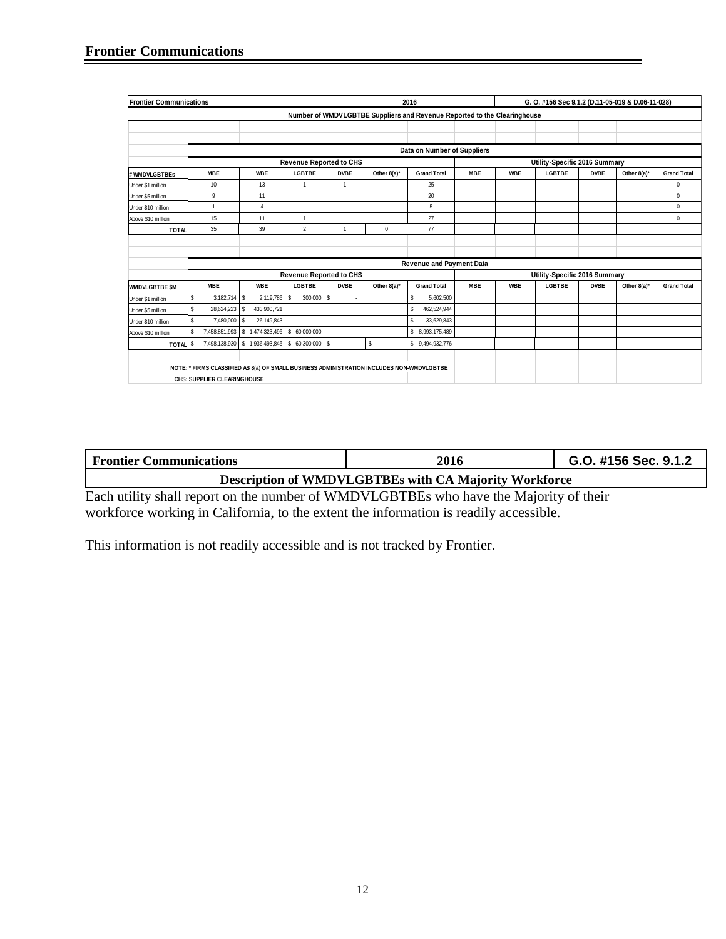| <b>Frontier Communications</b> |               |                                    |                                                                                           | 2016               | G. O. #156 Sec 9.1.2 (D.11-05-019 & D.06-11-028) |                                |                                                                          |            |            |                               |             |             |                    |
|--------------------------------|---------------|------------------------------------|-------------------------------------------------------------------------------------------|--------------------|--------------------------------------------------|--------------------------------|--------------------------------------------------------------------------|------------|------------|-------------------------------|-------------|-------------|--------------------|
|                                |               |                                    |                                                                                           |                    |                                                  |                                | Number of WMDVLGBTBE Suppliers and Revenue Reported to the Clearinghouse |            |            |                               |             |             |                    |
|                                |               |                                    |                                                                                           |                    |                                                  |                                |                                                                          |            |            |                               |             |             |                    |
|                                |               |                                    |                                                                                           |                    |                                                  |                                |                                                                          |            |            |                               |             |             |                    |
|                                |               |                                    |                                                                                           |                    |                                                  |                                | Data on Number of Suppliers                                              |            |            |                               |             |             |                    |
|                                |               |                                    |                                                                                           |                    | <b>Revenue Reported to CHS</b>                   |                                |                                                                          |            |            | Utility-Specific 2016 Summary |             |             |                    |
| # WMDVLGBTBEs                  |               | <b>MBE</b>                         | <b>WBE</b>                                                                                | <b>LGBTBE</b>      | <b>DVBE</b>                                      | Other 8(a)*                    | <b>Grand Total</b>                                                       | <b>MBE</b> | <b>WBE</b> | <b>LGBTBE</b>                 | <b>DVBE</b> | Other 8(a)* | <b>Grand Total</b> |
| Under \$1 million              |               | 10                                 | 13                                                                                        | $\mathbf{1}$       | 1                                                |                                | 25                                                                       |            |            |                               |             |             | $\mathbf 0$        |
| Under \$5 million              |               | 9                                  | 11                                                                                        |                    |                                                  |                                | 20                                                                       |            |            |                               |             |             | $\mathbf 0$        |
| Under \$10 million             |               | 1                                  | $\overline{4}$                                                                            |                    |                                                  |                                | 5                                                                        |            |            |                               |             |             | $\mathbf 0$        |
| Above \$10 million             |               | 15                                 | 11                                                                                        | 1                  |                                                  |                                | 27                                                                       |            |            |                               |             |             | $\mathbf 0$        |
| <b>TOTAL</b>                   |               | 35                                 | 39                                                                                        | $\overline{2}$     | 1                                                | $\mathbf 0$                    | 77                                                                       |            |            |                               |             |             |                    |
|                                |               |                                    |                                                                                           |                    |                                                  |                                |                                                                          |            |            |                               |             |             |                    |
|                                |               |                                    |                                                                                           |                    |                                                  |                                |                                                                          |            |            |                               |             |             |                    |
|                                |               |                                    |                                                                                           |                    |                                                  |                                | <b>Revenue and Payment Data</b>                                          |            |            |                               |             |             |                    |
|                                |               |                                    |                                                                                           |                    | <b>Revenue Reported to CHS</b>                   |                                |                                                                          |            |            | Utility-Specific 2016 Summary |             |             |                    |
| <b>WMDVLGBTBE \$M</b>          |               | <b>MBE</b>                         | <b>WBE</b>                                                                                | <b>LGBTBE</b>      | <b>DVBE</b>                                      | Other 8(a)*                    | <b>Grand Total</b>                                                       | <b>MBE</b> | <b>WBE</b> | <b>LGBTBE</b>                 | <b>DVBE</b> | Other 8(a)* | <b>Grand Total</b> |
| Under \$1 million              | \$            | $3,182,714$ \$                     | 2,119,786                                                                                 | $300,000$ \$<br>\$ |                                                  |                                | \$<br>5,602,500                                                          |            |            |                               |             |             |                    |
| Under \$5 million              | \$            | 28,624,223                         | s<br>433,900,721                                                                          |                    |                                                  |                                | \$<br>462,524,944                                                        |            |            |                               |             |             |                    |
| Under \$10 million             | \$            | 7,480,000                          | 26,149,843<br>s                                                                           |                    |                                                  |                                | S.<br>33,629,843                                                         |            |            |                               |             |             |                    |
| Above \$10 million             | $\mathfrak s$ | 7,458,851,993                      | \$1,474,323,496                                                                           | \$ 60,000,000      |                                                  |                                | \$ 8,993,175,489                                                         |            |            |                               |             |             |                    |
| TOTAL <sup>\$</sup>            |               |                                    | 7,498,138,930 \$ 1,936,493,846 \$ 60,300,000 \$                                           |                    |                                                  | \$<br>$\overline{\phantom{a}}$ | \$9,494,932,776                                                          |            |            |                               |             |             |                    |
|                                |               |                                    |                                                                                           |                    |                                                  |                                |                                                                          |            |            |                               |             |             |                    |
|                                |               |                                    | NOTE: * FIRMS CLASSIFIED AS 8(a) OF SMALL BUSINESS ADMINISTRATION INCLUDES NON-WMDVLGBTBE |                    |                                                  |                                |                                                                          |            |            |                               |             |             |                    |
|                                |               | <b>CHS: SUPPLIER CLEARINGHOUSE</b> |                                                                                           |                    |                                                  |                                |                                                                          |            |            |                               |             |             |                    |

| <b>Frontier Communications</b> | 2016                                                  | G.O. #156 Sec. 9.1.2 |
|--------------------------------|-------------------------------------------------------|----------------------|
|                                | Description of WMDVLGBTBEs with CA Majority Workforce |                      |

Each utility shall report on the number of WMDVLGBTBEs who have the Majority of their workforce working in California, to the extent the information is readily accessible.

This information is not readily accessible and is not tracked by Frontier.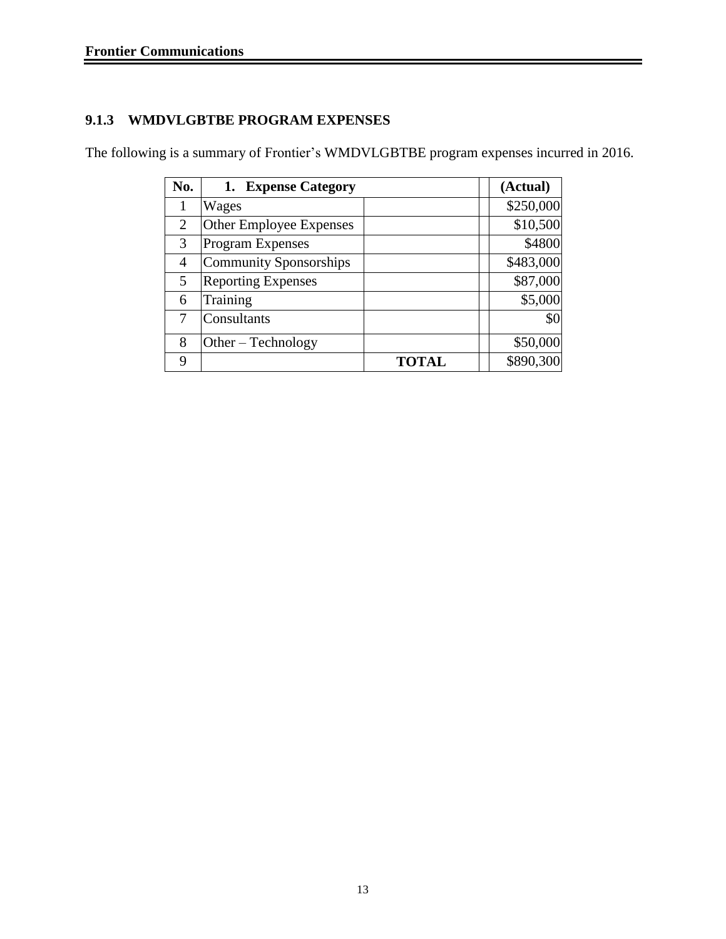## **9.1.3 WMDVLGBTBE PROGRAM EXPENSES**

The following is a summary of Frontier's WMDVLGBTBE program expenses incurred in 2016.

| No. | 1. Expense Category           |              | (Actual)  |
|-----|-------------------------------|--------------|-----------|
|     | Wages                         |              | \$250,000 |
| 2   | Other Employee Expenses       |              | \$10,500  |
| 3   | <b>Program Expenses</b>       |              | \$4800    |
| 4   | <b>Community Sponsorships</b> |              | \$483,000 |
| 5   | <b>Reporting Expenses</b>     |              | \$87,000  |
| 6   | Training                      |              | \$5,000   |
|     | Consultants                   |              | \$0       |
| 8   | Other – Technology            |              | \$50,000  |
| 9   |                               | <b>TOTAL</b> | \$890,300 |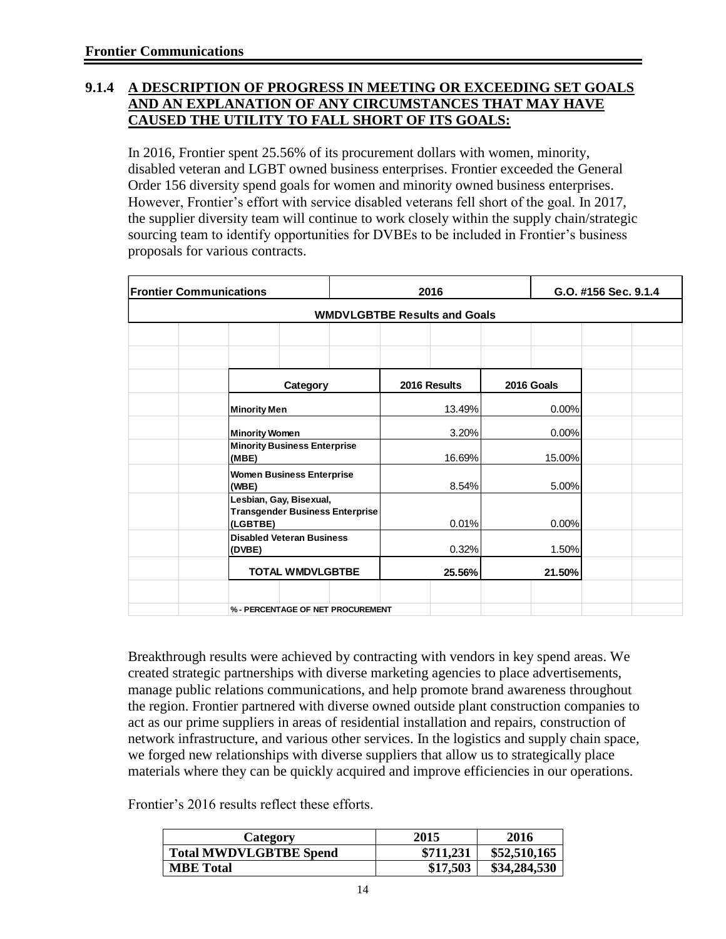#### **9.1.4 A DESCRIPTION OF PROGRESS IN MEETING OR EXCEEDING SET GOALS AND AN EXPLANATION OF ANY CIRCUMSTANCES THAT MAY HAVE CAUSED THE UTILITY TO FALL SHORT OF ITS GOALS:**

In 2016, Frontier spent 25.56% of its procurement dollars with women, minority, disabled veteran and LGBT owned business enterprises. Frontier exceeded the General Order 156 diversity spend goals for women and minority owned business enterprises. However, Frontier's effort with service disabled veterans fell short of the goal. In 2017, the supplier diversity team will continue to work closely within the supply chain/strategic sourcing team to identify opportunities for DVBEs to be included in Frontier's business proposals for various contracts.

| <b>Frontier Communications</b>                                                | 2016                                | G.O. #156 Sec. 9.1.4 |  |
|-------------------------------------------------------------------------------|-------------------------------------|----------------------|--|
|                                                                               | <b>WMDVLGBTBE Results and Goals</b> |                      |  |
|                                                                               |                                     |                      |  |
| Category                                                                      | 2016 Results                        | 2016 Goals           |  |
| <b>Minority Men</b>                                                           | 13.49%                              | 0.00%                |  |
| <b>Minority Women</b>                                                         | 3.20%                               | 0.00%                |  |
| <b>Minority Business Enterprise</b><br>(MBE)                                  | 16.69%                              | 15.00%               |  |
| <b>Women Business Enterprise</b><br>(WBE)                                     | 8.54%                               | 5.00%                |  |
| Lesbian, Gay, Bisexual,<br><b>Transgender Business Enterprise</b><br>(LGBTBE) | 0.01%                               | 0.00%                |  |
| <b>Disabled Veteran Business</b><br>(DVBE)                                    | 0.32%                               | 1.50%                |  |
| <b>TOTAL WMDVLGBTBE</b>                                                       | 25.56%                              | 21.50%               |  |
|                                                                               |                                     |                      |  |
| % - PERCENTAGE OF NET PROCUREMENT                                             |                                     |                      |  |

Breakthrough results were achieved by contracting with vendors in key spend areas. We created strategic partnerships with diverse marketing agencies to place advertisements, manage public relations communications, and help promote brand awareness throughout the region. Frontier partnered with diverse owned outside plant construction companies to act as our prime suppliers in areas of residential installation and repairs, construction of network infrastructure, and various other services. In the logistics and supply chain space, we forged new relationships with diverse suppliers that allow us to strategically place materials where they can be quickly acquired and improve efficiencies in our operations.

Frontier's 2016 results reflect these efforts.

| Category                      | 2015      | 2016         |
|-------------------------------|-----------|--------------|
| <b>Total MWDVLGBTBE Spend</b> | \$711,231 | \$52,510,165 |
| <b>MBE</b> Total              | \$17,503  | \$34,284,530 |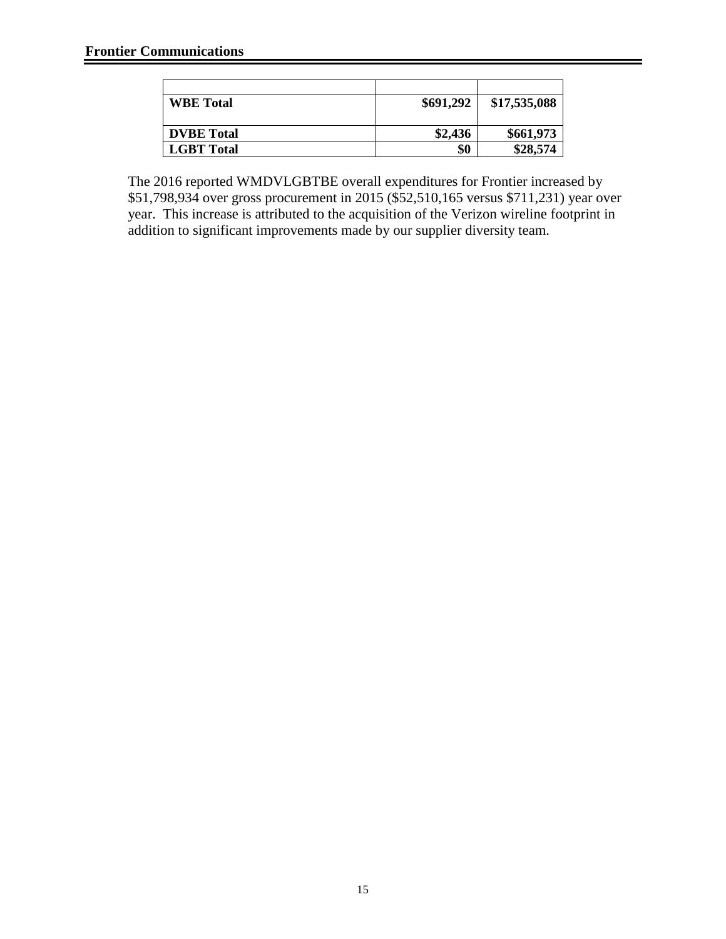| <b>WBE</b> Total  | \$691,292 | \$17,535,088 |
|-------------------|-----------|--------------|
|                   |           |              |
| <b>DVBE</b> Total | \$2,436   | \$661,973    |
| <b>LGBT</b> Total | \$0       | \$28,574     |

The 2016 reported WMDVLGBTBE overall expenditures for Frontier increased by \$51,798,934 over gross procurement in 2015 (\$52,510,165 versus \$711,231) year over year. This increase is attributed to the acquisition of the Verizon wireline footprint in addition to significant improvements made by our supplier diversity team.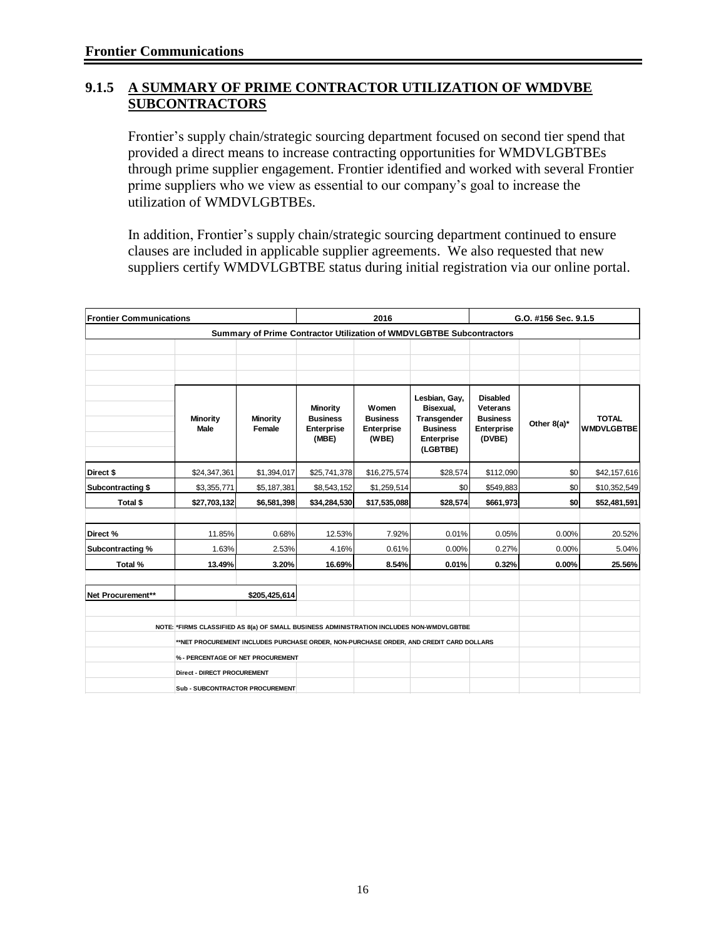#### **9.1.5 A SUMMARY OF PRIME CONTRACTOR UTILIZATION OF WMDVBE SUBCONTRACTORS**

Frontier's supply chain/strategic sourcing department focused on second tier spend that provided a direct means to increase contracting opportunities for WMDVLGBTBEs through prime supplier engagement. Frontier identified and worked with several Frontier prime suppliers who we view as essential to our company's goal to increase the utilization of WMDVLGBTBEs.

In addition, Frontier's supply chain/strategic sourcing department continued to ensure clauses are included in applicable supplier agreements. We also requested that new suppliers certify WMDVLGBTBE status during initial registration via our online portal.

| <b>Frontier Communications</b> |                                                                                          |                                                                                       |                                                    | 2016                                            |                                                                                        | G.O. #156 Sec. 9.1.5                                                                 |                |                                   |  |  |  |
|--------------------------------|------------------------------------------------------------------------------------------|---------------------------------------------------------------------------------------|----------------------------------------------------|-------------------------------------------------|----------------------------------------------------------------------------------------|--------------------------------------------------------------------------------------|----------------|-----------------------------------|--|--|--|
|                                |                                                                                          | Summary of Prime Contractor Utilization of WMDVLGBTBE Subcontractors                  |                                                    |                                                 |                                                                                        |                                                                                      |                |                                   |  |  |  |
|                                |                                                                                          |                                                                                       |                                                    |                                                 |                                                                                        |                                                                                      |                |                                   |  |  |  |
|                                |                                                                                          |                                                                                       |                                                    |                                                 |                                                                                        |                                                                                      |                |                                   |  |  |  |
|                                |                                                                                          |                                                                                       |                                                    |                                                 |                                                                                        |                                                                                      |                |                                   |  |  |  |
|                                | Minority<br><b>Male</b>                                                                  | Minority<br>Female                                                                    | Minority<br><b>Business</b><br>Enterprise<br>(MBE) | Women<br><b>Business</b><br>Enterprise<br>(WBE) | Lesbian, Gay,<br>Bisexual,<br>Transgender<br><b>Business</b><br>Enterprise<br>(LGBTBE) | <b>Disabled</b><br><b>Veterans</b><br><b>Business</b><br><b>Enterprise</b><br>(DVBE) | Other $8(a)^*$ | <b>TOTAL</b><br><b>WMDVLGBTBE</b> |  |  |  |
| Direct \$                      | \$24,347,361                                                                             | \$1,394,017                                                                           | \$25,741,378                                       | \$16,275,574                                    | \$28,574                                                                               | \$112,090                                                                            | \$0            | \$42,157,616                      |  |  |  |
| Subcontracting \$              | \$3,355,771                                                                              | \$5,187,381                                                                           | \$8,543,152                                        | \$1,259,514                                     | \$0                                                                                    | \$549,883                                                                            | \$0            | \$10,352,549                      |  |  |  |
| Total \$                       | \$27,703,132                                                                             | \$6,581,398                                                                           | \$34,284,530                                       | \$17,535,088                                    | \$28,574                                                                               | \$661,973                                                                            | \$0            | \$52,481,591                      |  |  |  |
|                                |                                                                                          |                                                                                       |                                                    |                                                 |                                                                                        |                                                                                      |                |                                   |  |  |  |
| Direct %                       | 11.85%                                                                                   | 0.68%                                                                                 | 12.53%                                             | 7.92%                                           | 0.01%                                                                                  | 0.05%                                                                                | 0.00%          | 20.52%                            |  |  |  |
| Subcontracting %               | 1.63%                                                                                    | 2.53%                                                                                 | 4.16%                                              | 0.61%                                           | 0.00%                                                                                  | 0.27%                                                                                | 0.00%          | 5.04%                             |  |  |  |
| Total %                        | 13.49%                                                                                   | 3.20%                                                                                 | 16.69%                                             | 8.54%                                           | 0.01%                                                                                  | 0.32%                                                                                | 0.00%          | 25.56%                            |  |  |  |
| Net Procurement**              |                                                                                          | \$205,425,614                                                                         |                                                    |                                                 |                                                                                        |                                                                                      |                |                                   |  |  |  |
|                                | NOTE: *FIRMS CLASSIFIED AS 8(a) OF SMALL BUSINESS ADMINISTRATION INCLUDES NON-WMDVLGBTBE |                                                                                       |                                                    |                                                 |                                                                                        |                                                                                      |                |                                   |  |  |  |
|                                |                                                                                          | *NET PROCUREMENT INCLUDES PURCHASE ORDER, NON-PURCHASE ORDER, AND CREDIT CARD DOLLARS |                                                    |                                                 |                                                                                        |                                                                                      |                |                                   |  |  |  |
|                                |                                                                                          | % - PERCENTAGE OF NET PROCUREMENT                                                     |                                                    |                                                 |                                                                                        |                                                                                      |                |                                   |  |  |  |
|                                | Direct - DIRECT PROCUREMENT                                                              |                                                                                       |                                                    |                                                 |                                                                                        |                                                                                      |                |                                   |  |  |  |
|                                | Sub - SUBCONTRACTOR PROCUREMENT                                                          |                                                                                       |                                                    |                                                 |                                                                                        |                                                                                      |                |                                   |  |  |  |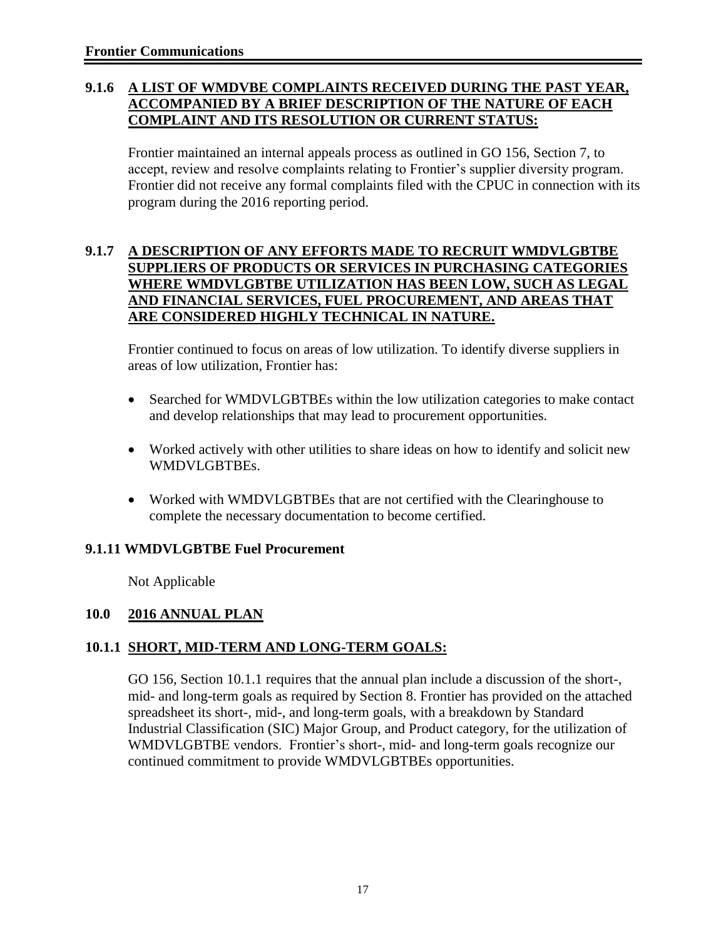#### **9.1.6 A LIST OF WMDVBE COMPLAINTS RECEIVED DURING THE PAST YEAR, ACCOMPANIED BY A BRIEF DESCRIPTION OF THE NATURE OF EACH COMPLAINT AND ITS RESOLUTION OR CURRENT STATUS:**

Frontier maintained an internal appeals process as outlined in GO 156, Section 7, to accept, review and resolve complaints relating to Frontier's supplier diversity program. Frontier did not receive any formal complaints filed with the CPUC in connection with its program during the 2016 reporting period.

#### **9.1.7 A DESCRIPTION OF ANY EFFORTS MADE TO RECRUIT WMDVLGBTBE SUPPLIERS OF PRODUCTS OR SERVICES IN PURCHASING CATEGORIES WHERE WMDVLGBTBE UTILIZATION HAS BEEN LOW, SUCH AS LEGAL AND FINANCIAL SERVICES, FUEL PROCUREMENT, AND AREAS THAT ARE CONSIDERED HIGHLY TECHNICAL IN NATURE.**

Frontier continued to focus on areas of low utilization. To identify diverse suppliers in areas of low utilization, Frontier has:

- Searched for WMDVLGBTBEs within the low utilization categories to make contact and develop relationships that may lead to procurement opportunities.
- Worked actively with other utilities to share ideas on how to identify and solicit new WMDVLGBTBEs.
- Worked with WMDVLGBTBEs that are not certified with the Clearinghouse to complete the necessary documentation to become certified.

#### **9.1.11 WMDVLGBTBE Fuel Procurement**

Not Applicable

#### **10.0 2016 ANNUAL PLAN**

#### **10.1.1 SHORT, MID-TERM AND LONG-TERM GOALS:**

GO 156, Section 10.1.1 requires that the annual plan include a discussion of the short-, mid- and long-term goals as required by Section 8. Frontier has provided on the attached spreadsheet its short-, mid-, and long-term goals, with a breakdown by Standard Industrial Classification (SIC) Major Group, and Product category, for the utilization of WMDVLGBTBE vendors. Frontier's short-, mid- and long-term goals recognize our continued commitment to provide WMDVLGBTBEs opportunities.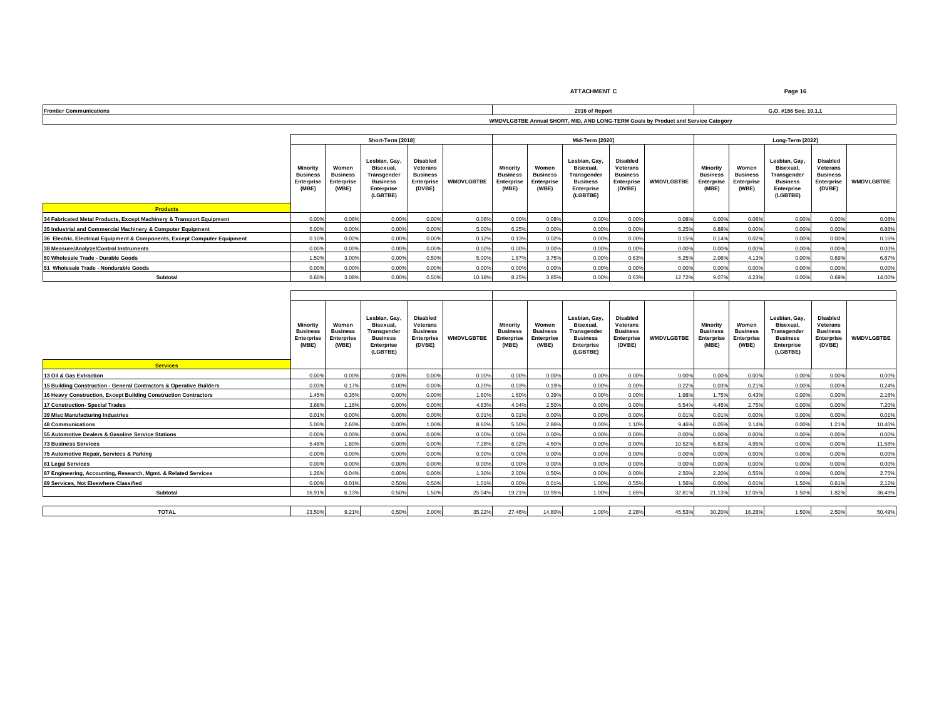**ATTACHMENT C Page 16**

| Eronti | 2040 of Bones                                                                     | #156 Sec. 10.1. |
|--------|-----------------------------------------------------------------------------------|-----------------|
|        | WMDVLGBTBE Annual SHORT, MID, AND LONG-TERM Goals by Product and Service Category |                 |

|                                                                           |       |                                                 | Short-Term [2018]                                                                                                                                                |       |                                 |       |                                                 | Mid-Term [2020]                                                                        |                                                                               |                   | Long-Term [2022]                                          |                                                        |                                                                                        |                                                                 |                   |  |
|---------------------------------------------------------------------------|-------|-------------------------------------------------|------------------------------------------------------------------------------------------------------------------------------------------------------------------|-------|---------------------------------|-------|-------------------------------------------------|----------------------------------------------------------------------------------------|-------------------------------------------------------------------------------|-------------------|-----------------------------------------------------------|--------------------------------------------------------|----------------------------------------------------------------------------------------|-----------------------------------------------------------------|-------------------|--|
| <b>Business</b><br>Enterprise                                             |       | Women<br><b>Business</b><br>Enterprise<br>(WBE) | <b>Disabled</b><br>Lesbian, Gay,<br>Bisexual.<br>Veterans<br><b>Business</b><br>Transgender<br><b>Business</b><br>Enterprise<br>(DVBE)<br>Enterprise<br>(LGBTBE) |       | <b>WMDVLGBTBE</b><br>Enterprise |       | Women<br><b>Business</b><br>Enterprise<br>(WBE) | Lesbian, Gay,<br>Bisexual.<br>Transgender<br><b>Business</b><br>Enterprise<br>(LGBTBE) | <b>Disabled</b><br>Veterans<br><b>Business</b><br><b>Enterprise</b><br>(DVBE) | <b>WMDVLGBTBE</b> | Minority<br><b>Business</b><br><b>Enterprise</b><br>(MBE) | Women<br><b>Business</b><br><b>Enterprise</b><br>(WBE) | Lesbian, Gay,<br>Bisexual.<br>Transgender<br><b>Business</b><br>Enterprise<br>(LGBTBE) | Disabled<br>Veterans<br><b>Business</b><br>Enterprise<br>(DVBE) | <b>WMDVLGBTBE</b> |  |
| <b>Products</b>                                                           |       |                                                 |                                                                                                                                                                  |       |                                 |       |                                                 |                                                                                        |                                                                               |                   |                                                           |                                                        |                                                                                        |                                                                 |                   |  |
| 34 Fabricated Metal Products, Except Machinery & Transport Equipment      | 0.00% | 0.06%                                           | 0.00%                                                                                                                                                            | 0.00% | 0.06%                           | 0.00% | 0.08%                                           | 0.00%                                                                                  | 0.00%                                                                         | 0.08%             | 0.00%                                                     | 0.08%                                                  | 0.00%                                                                                  | 0.00%                                                           | 0.08%             |  |
| 35 Industrial and Commercial Machinery & Computer Equipment               | 5.00% | 0.00%                                           | 0.00%                                                                                                                                                            | 0.00% | 5.00%                           | 6.25% | 0.00%                                           | 0.00%                                                                                  | 0.00%                                                                         | 6.25%             | 6.88%                                                     | 0.00%                                                  | 0.00%                                                                                  | 0.00%                                                           | 6.88%             |  |
| 36 Electric, Electrical Equipment & Components, Except Computer Equipment | 0.10% | 0.02%                                           | 0.00%                                                                                                                                                            | 0.00% | 0.12%                           | 0.13% | 0.02%                                           | 0.00%                                                                                  | 0.00%                                                                         | 0.15%             | 0.14%                                                     | 0.02%                                                  | 0.00%                                                                                  | 0.00%                                                           | 0.16%             |  |
| 38 Measure/Analyze/Control Instruments                                    | 0.00% | 0.00%                                           | 0.00%                                                                                                                                                            | 0.00% | 0.00%                           | 0.00% | 0.00%                                           | 0.00%                                                                                  | 0.00%                                                                         | 0.00%             | 0.00%                                                     | 0.00%                                                  | 0.00%                                                                                  | 0.00%                                                           | 0.00%             |  |
| 50 Wholesale Trade - Durable Goods                                        | 1.50% | 3.00%                                           | 0.00%                                                                                                                                                            | 0.50% | 5.00%                           | 1.87% | 3.75%                                           | 0.00%                                                                                  | 0.63%                                                                         | 6.25%             | 2.06%                                                     | 4.13%                                                  | 0.00%                                                                                  | 0.69%                                                           | 6.87%             |  |
| 51 Wholesale Trade - Nondurable Goods                                     | 0.00% | 0.00%                                           | 0.00%                                                                                                                                                            | 0.00% | 0.00%                           | 0.00% | 0.00%                                           | 0.00%                                                                                  | 0.00%                                                                         | 0.00%             | 0.00%                                                     | 0.00%                                                  | 0.00%                                                                                  | 0.00%                                                           | 0.00%             |  |
| Subtotal                                                                  | 6.60% | 3.08%                                           | 0.009                                                                                                                                                            | 0.50% | 10.18%                          | 8.25% | 3.85%                                           | 0.00%                                                                                  | 0.63%                                                                         | 12.72%            | 9.07%                                                     | 4.23%                                                  | 0.00%                                                                                  | 0.69%                                                           | 14.00%            |  |

| <b>Services</b>                                                     | Minority<br><b>Business</b><br><b>Enterprise</b><br>(MBE) | Women<br><b>Business</b><br>Enterprise<br>(WBE) | Lesbian, Gav.<br>Bisexual.<br><b>Transgender</b><br><b>Business</b><br>Enterprise<br>(LGBTBE) | <b>Disabled</b><br>Veterans<br><b>Business</b><br>Enterprise<br>(DVBE) | <b>WMDVLGBTBE</b> | <b>Minority</b><br><b>Business</b><br>Enterprise<br>(MBE) | Women<br><b>Business</b><br>Enterprise<br>(WBE) | Lesbian, Gav.<br>Bisexual.<br>Transgender<br><b>Business</b><br>Enterprise<br>(LGBTBE) | <b>Disabled</b><br>Veterans<br><b>Business</b><br>Enterprise<br>(DVBE) | <b>WMDVLGBTBE</b> | Minority<br><b>Business</b><br>Enterprise<br>(MBE) | Women<br><b>Business</b><br><b>Enterprise</b><br>(WBE) | Lesbian, Gav.<br>Bisexual<br>Transgender<br><b>Business</b><br><b>Enterprise</b><br>(LGBTBE) | <b>Disabled</b><br><b>Veterans</b><br><b>Business</b><br>Enterprise<br>(DVBE) | <b>WMDVLGBTBE</b> |  |  |
|---------------------------------------------------------------------|-----------------------------------------------------------|-------------------------------------------------|-----------------------------------------------------------------------------------------------|------------------------------------------------------------------------|-------------------|-----------------------------------------------------------|-------------------------------------------------|----------------------------------------------------------------------------------------|------------------------------------------------------------------------|-------------------|----------------------------------------------------|--------------------------------------------------------|----------------------------------------------------------------------------------------------|-------------------------------------------------------------------------------|-------------------|--|--|
| 13 Oil & Gas Extraction                                             | 0.00%                                                     | 0.00%                                           | 0.00%                                                                                         | 0.00%                                                                  | 0.00%             | 0.00%                                                     | 0.00%                                           | 0.00%                                                                                  | 0.00%                                                                  | 0.00%             | 0.00%                                              | 0.00%                                                  | 0.00%                                                                                        | 0.00%                                                                         | 0.00%             |  |  |
| 15 Building Construction - General Contractors & Operative Builders | 0.03%                                                     | 0.17%                                           | 0.00%                                                                                         | 0.00%                                                                  | 0.20%             | 0.03%                                                     | 0.19%                                           | 0.00%                                                                                  | 0.00%                                                                  | 0.22%             | 0.03%                                              | 0.21%                                                  | 0.00%                                                                                        | 0.00%                                                                         | 0.24%             |  |  |
| 16 Heavy Construction, Except Building Construction Contractors     | 1.45%                                                     | 0.35%                                           | 0.00%                                                                                         | 0.00%                                                                  | 1.80%             | 1.60%                                                     | 0.39%                                           | 0.00%                                                                                  | 0.00%                                                                  | 1.98%             | 1.75%                                              | 0.43%                                                  | 0.00%                                                                                        | 0.00%                                                                         | 2.18%             |  |  |
| 17 Construction- Special Trades                                     | 3.68%                                                     | 1.16%                                           | 0.00%                                                                                         | 0.00%                                                                  | 4.83%             | 4.04%                                                     | 2.50%                                           | 0.00%                                                                                  | 0.00%                                                                  | 6.54%             | 4.45%                                              | 2.75%                                                  | 0.00%                                                                                        | 0.00%                                                                         | 7.20%             |  |  |
| 39 Misc Manufacturing Industries                                    | 0.01%                                                     | 0.00%                                           | 0.00%                                                                                         | 0.00%                                                                  | 0.01%             | 0.01%                                                     | 0.00%                                           | 0.00%                                                                                  | 0.00%                                                                  | 0.01%             | 0.01%                                              | 0.00%                                                  | 0.00%                                                                                        | 0.00%                                                                         | 0.01%             |  |  |
| 48 Communications                                                   | 5.00%                                                     | 2.60%                                           | 0.00%                                                                                         | 1.00%                                                                  | 8.60%             | 5.50%                                                     | 2.86%                                           | 0.00%                                                                                  | 1.10%                                                                  | 9.46%             | 6.05%                                              | 3.14%                                                  | 0.00%                                                                                        | 1.21%                                                                         | 10.40%            |  |  |
| 55 Automotive Dealers & Gasoline Service Stations                   | 0.00%                                                     | 0.00%                                           | 0.00%                                                                                         | 0.00%                                                                  | 0.00%             | 0.00%                                                     | 0.00%                                           | 0.00%                                                                                  | 0.00%                                                                  | 0.00%             | 0.00%                                              | 0.00%                                                  | 0.00%                                                                                        | 0.00%                                                                         | 0.00%             |  |  |
| <b>73 Business Services</b>                                         | 5.48%                                                     | 1.80%                                           | 0.00%                                                                                         | 0.00%                                                                  | 7.28%             | 6.02%                                                     | 4.50%                                           | 0.00%                                                                                  | 0.00%                                                                  | 10.52%            | 6.63%                                              | 4.95%                                                  | 0.00%                                                                                        | 0.00%                                                                         | 11.58%            |  |  |
| 75 Automotive Repair, Services & Parking                            | 0.00%                                                     | 0.00%                                           | 0.00%                                                                                         | 0.00%                                                                  | 0.00%             | 0.00%                                                     | 0.00%                                           | 0.00%                                                                                  | 0.00%                                                                  | 0.00%             | 0.00%                                              | 0.00%                                                  | 0.00%                                                                                        | 0.00%                                                                         | 0.00%             |  |  |
| 81 Legal Services                                                   | 0.00%                                                     | 0.00%                                           | 0.00%                                                                                         | 0.00%                                                                  | 0.00%             | 0.00%                                                     | 0.00%                                           | 0.00%                                                                                  | 0.00%                                                                  | 0.00%             | 0.00%                                              | 0.00%                                                  | 0.00%                                                                                        | 0.00%                                                                         | 0.00%             |  |  |
| 87 Engineering, Accounting, Research, Mgmt, & Related Services      | 1.26%                                                     | 0.04%                                           | 0.00%                                                                                         | 0.00%                                                                  | 1.30%             | 2.00%                                                     | 0.50%                                           | 0.00%                                                                                  | 0.00%                                                                  | 2.50%             | 2.20%                                              | 0.55%                                                  | 0.00%                                                                                        | 0.00%                                                                         | 2.75%             |  |  |
| 89 Services, Not Elsewhere Classified                               | 0.00%                                                     | 0.01%                                           | 0.50%                                                                                         | 0.50%                                                                  | 1.01%             | 0.00%                                                     | 0.01%                                           | 1.00%                                                                                  | 0.55%                                                                  | 1.56%             | 0.00%                                              | 0.01%                                                  | 1.50%                                                                                        | 0.61%                                                                         | 2.12%             |  |  |
| Subtotal                                                            | 16.91%                                                    | 6.13%                                           | 0.50%                                                                                         | 1.50%                                                                  | 25.04%            | 19.21%                                                    | 10.95%                                          | 1.00%                                                                                  | 1.65%                                                                  | 32.81%            | 21.13%                                             | 12.05%                                                 | 1.50%                                                                                        | 1.82%                                                                         | 36.49%            |  |  |
|                                                                     |                                                           |                                                 |                                                                                               |                                                                        |                   |                                                           |                                                 |                                                                                        |                                                                        |                   |                                                    |                                                        |                                                                                              |                                                                               |                   |  |  |
| <b>TOTAL</b>                                                        | 23.50%                                                    | 9.21%                                           | 0.50%                                                                                         | 2.00%                                                                  | 35.22%            | 27.46%                                                    | 14.80%                                          | 1.00%                                                                                  | 2.28%                                                                  | 45.53%            | 30.20%                                             | 16.28%                                                 | 1.50%                                                                                        | 2.50%                                                                         | 50.49%            |  |  |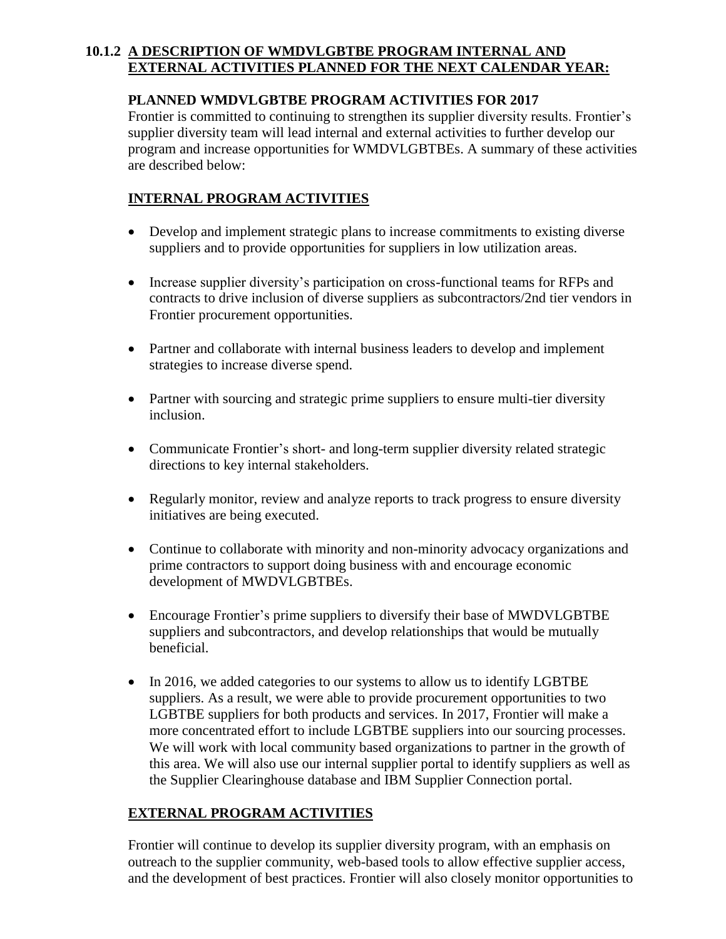#### **10.1.2 A DESCRIPTION OF WMDVLGBTBE PROGRAM INTERNAL AND EXTERNAL ACTIVITIES PLANNED FOR THE NEXT CALENDAR YEAR:**

#### **PLANNED WMDVLGBTBE PROGRAM ACTIVITIES FOR 2017**

Frontier is committed to continuing to strengthen its supplier diversity results. Frontier's supplier diversity team will lead internal and external activities to further develop our program and increase opportunities for WMDVLGBTBEs. A summary of these activities are described below:

#### **INTERNAL PROGRAM ACTIVITIES**

- Develop and implement strategic plans to increase commitments to existing diverse suppliers and to provide opportunities for suppliers in low utilization areas.
- Increase supplier diversity's participation on cross-functional teams for RFPs and contracts to drive inclusion of diverse suppliers as subcontractors/2nd tier vendors in Frontier procurement opportunities.
- Partner and collaborate with internal business leaders to develop and implement strategies to increase diverse spend.
- Partner with sourcing and strategic prime suppliers to ensure multi-tier diversity inclusion.
- Communicate Frontier's short- and long-term supplier diversity related strategic directions to key internal stakeholders.
- Regularly monitor, review and analyze reports to track progress to ensure diversity initiatives are being executed.
- Continue to collaborate with minority and non-minority advocacy organizations and prime contractors to support doing business with and encourage economic development of MWDVLGBTBEs.
- Encourage Frontier's prime suppliers to diversify their base of MWDVLGBTBE suppliers and subcontractors, and develop relationships that would be mutually beneficial.
- In 2016, we added categories to our systems to allow us to identify LGBTBE suppliers. As a result, we were able to provide procurement opportunities to two LGBTBE suppliers for both products and services. In 2017, Frontier will make a more concentrated effort to include LGBTBE suppliers into our sourcing processes. We will work with local community based organizations to partner in the growth of this area. We will also use our internal supplier portal to identify suppliers as well as the Supplier Clearinghouse database and IBM Supplier Connection portal.

#### **EXTERNAL PROGRAM ACTIVITIES**

Frontier will continue to develop its supplier diversity program, with an emphasis on outreach to the supplier community, web-based tools to allow effective supplier access, and the development of best practices. Frontier will also closely monitor opportunities to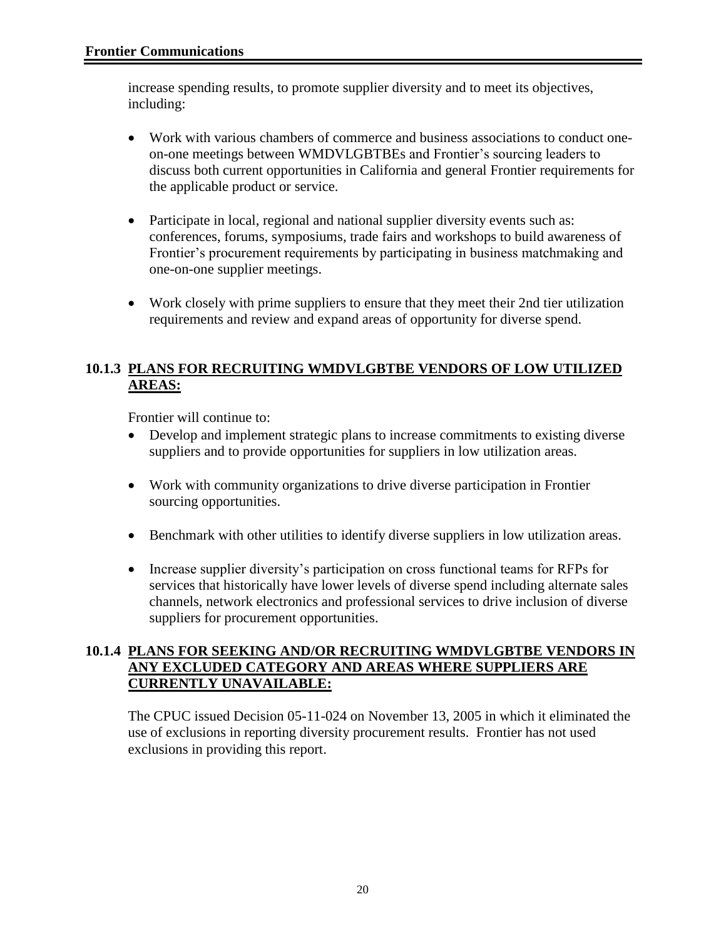increase spending results, to promote supplier diversity and to meet its objectives, including:

- Work with various chambers of commerce and business associations to conduct oneon-one meetings between WMDVLGBTBEs and Frontier's sourcing leaders to discuss both current opportunities in California and general Frontier requirements for the applicable product or service.
- Participate in local, regional and national supplier diversity events such as: conferences, forums, symposiums, trade fairs and workshops to build awareness of Frontier's procurement requirements by participating in business matchmaking and one-on-one supplier meetings.
- Work closely with prime suppliers to ensure that they meet their 2nd tier utilization requirements and review and expand areas of opportunity for diverse spend.

#### **10.1.3 PLANS FOR RECRUITING WMDVLGBTBE VENDORS OF LOW UTILIZED AREAS:**

Frontier will continue to:

- Develop and implement strategic plans to increase commitments to existing diverse suppliers and to provide opportunities for suppliers in low utilization areas.
- Work with community organizations to drive diverse participation in Frontier sourcing opportunities.
- Benchmark with other utilities to identify diverse suppliers in low utilization areas.
- Increase supplier diversity's participation on cross functional teams for RFPs for services that historically have lower levels of diverse spend including alternate sales channels, network electronics and professional services to drive inclusion of diverse suppliers for procurement opportunities.

#### **10.1.4 PLANS FOR SEEKING AND/OR RECRUITING WMDVLGBTBE VENDORS IN ANY EXCLUDED CATEGORY AND AREAS WHERE SUPPLIERS ARE CURRENTLY UNAVAILABLE:**

The CPUC issued Decision 05-11-024 on November 13, 2005 in which it eliminated the use of exclusions in reporting diversity procurement results. Frontier has not used exclusions in providing this report.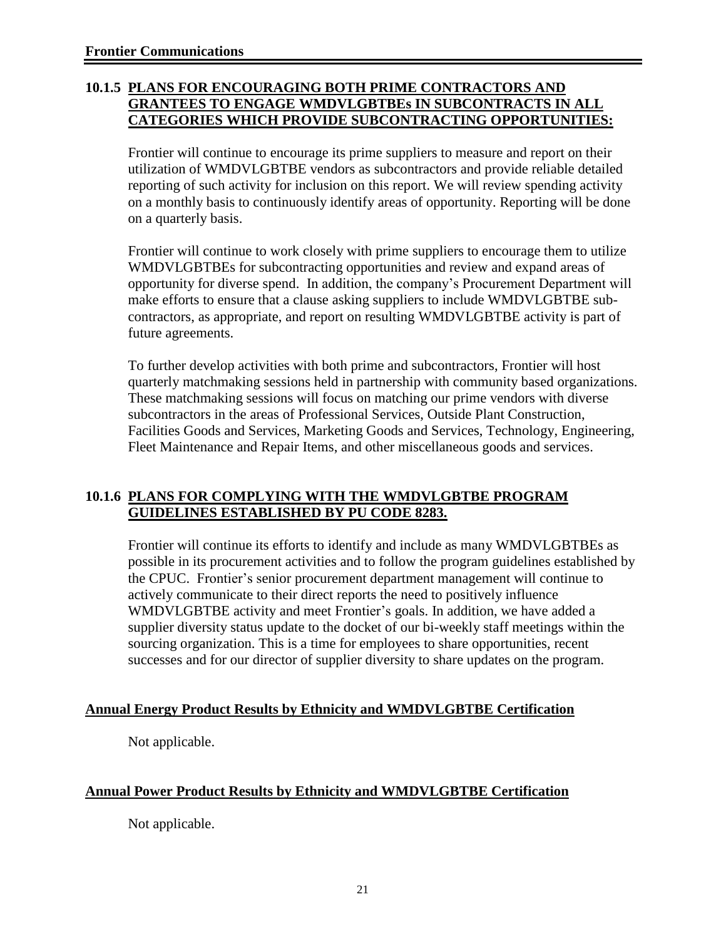#### **10.1.5 PLANS FOR ENCOURAGING BOTH PRIME CONTRACTORS AND GRANTEES TO ENGAGE WMDVLGBTBEs IN SUBCONTRACTS IN ALL CATEGORIES WHICH PROVIDE SUBCONTRACTING OPPORTUNITIES:**

Frontier will continue to encourage its prime suppliers to measure and report on their utilization of WMDVLGBTBE vendors as subcontractors and provide reliable detailed reporting of such activity for inclusion on this report. We will review spending activity on a monthly basis to continuously identify areas of opportunity. Reporting will be done on a quarterly basis.

Frontier will continue to work closely with prime suppliers to encourage them to utilize WMDVLGBTBEs for subcontracting opportunities and review and expand areas of opportunity for diverse spend. In addition, the company's Procurement Department will make efforts to ensure that a clause asking suppliers to include WMDVLGBTBE subcontractors, as appropriate, and report on resulting WMDVLGBTBE activity is part of future agreements.

To further develop activities with both prime and subcontractors, Frontier will host quarterly matchmaking sessions held in partnership with community based organizations. These matchmaking sessions will focus on matching our prime vendors with diverse subcontractors in the areas of Professional Services, Outside Plant Construction, Facilities Goods and Services, Marketing Goods and Services, Technology, Engineering, Fleet Maintenance and Repair Items, and other miscellaneous goods and services.

#### **10.1.6 PLANS FOR COMPLYING WITH THE WMDVLGBTBE PROGRAM GUIDELINES ESTABLISHED BY PU CODE 8283.**

Frontier will continue its efforts to identify and include as many WMDVLGBTBEs as possible in its procurement activities and to follow the program guidelines established by the CPUC. Frontier's senior procurement department management will continue to actively communicate to their direct reports the need to positively influence WMDVLGBTBE activity and meet Frontier's goals. In addition, we have added a supplier diversity status update to the docket of our bi-weekly staff meetings within the sourcing organization. This is a time for employees to share opportunities, recent successes and for our director of supplier diversity to share updates on the program.

#### **Annual Energy Product Results by Ethnicity and WMDVLGBTBE Certification**

Not applicable.

#### **Annual Power Product Results by Ethnicity and WMDVLGBTBE Certification**

Not applicable.